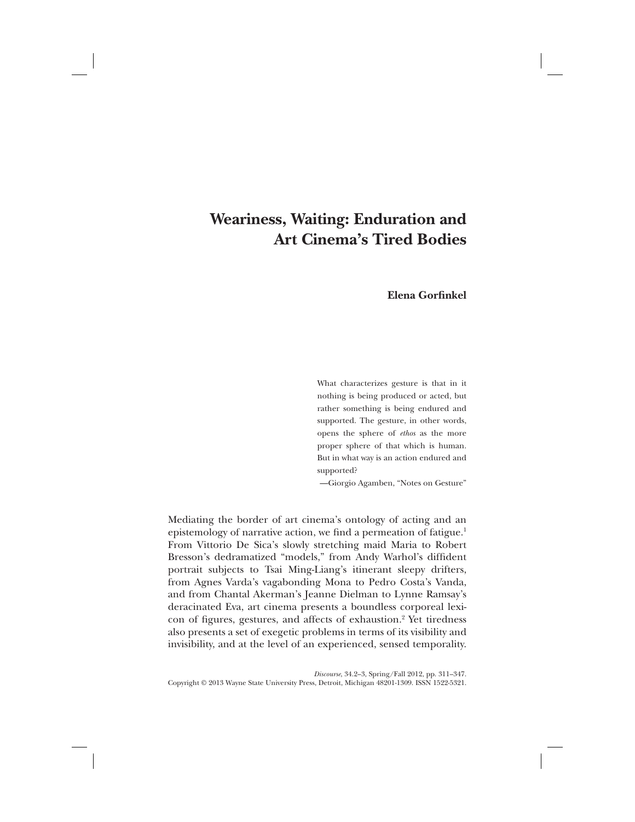# **Weariness, Waiting: Enduration and Art Cinema's Tired Bodies**

**Elena Gorfinkel**

What characterizes gesture is that in it nothing is being produced or acted, but rather something is being endured and supported. The gesture, in other words, opens the sphere of *ethos* as the more proper sphere of that which is human. But in what way is an action endured and supported?

—Giorgio Agamben, "Notes on Gesture"

Mediating the border of art cinema's ontology of acting and an epistemology of narrative action, we find a permeation of fatigue.<sup>1</sup> From Vittorio De Sica's slowly stretching maid Maria to Robert Bresson's dedramatized "models," from Andy Warhol's diffident portrait subjects to Tsai Ming-Liang's itinerant sleepy drifters, from Agnes Varda's vagabonding Mona to Pedro Costa's Vanda, and from Chantal Akerman's Jeanne Dielman to Lynne Ramsay's deracinated Eva, art cinema presents a boundless corporeal lexicon of figures, gestures, and affects of exhaustion.<sup>2</sup> Yet tiredness also presents a set of exegetic problems in terms of its visibility and invisibility, and at the level of an experienced, sensed temporality.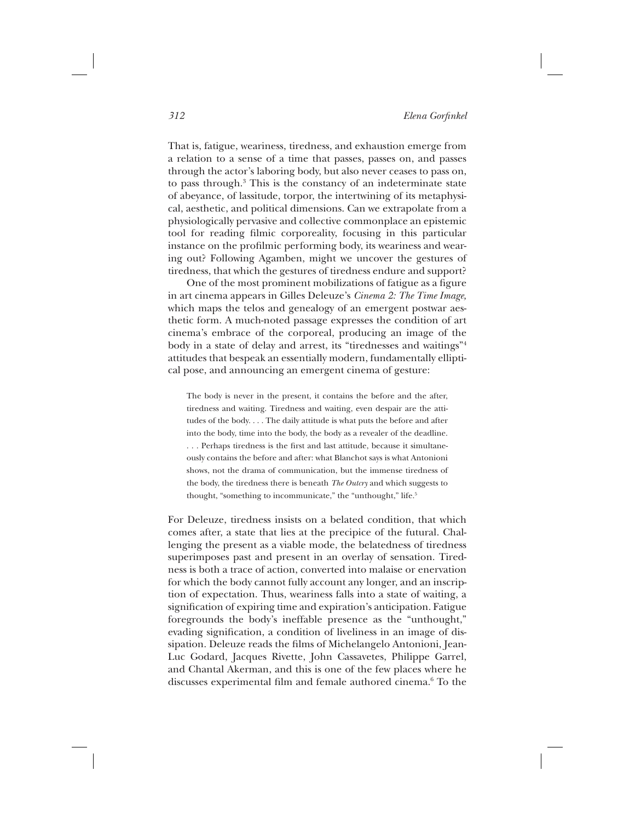That is, fatigue, weariness, tiredness, and exhaustion emerge from a relation to a sense of a time that passes, passes on, and passes through the actor's laboring body, but also never ceases to pass on, to pass through.<sup>3</sup> This is the constancy of an indeterminate state of abeyance, of lassitude, torpor, the intertwining of its metaphysical, aesthetic, and political dimensions. Can we extrapolate from a physiologically pervasive and collective commonplace an epistemic tool for reading filmic corporeality, focusing in this particular instance on the profilmic performing body, its weariness and wearing out? Following Agamben, might we uncover the gestures of tiredness, that which the gestures of tiredness endure and support?

One of the most prominent mobilizations of fatigue as a figure in art cinema appears in Gilles Deleuze's *Cinema 2: The Time Image,* which maps the telos and genealogy of an emergent postwar aesthetic form. A much-noted passage expresses the condition of art cinema's embrace of the corporeal, producing an image of the body in a state of delay and arrest, its "tirednesses and waitings"4 attitudes that bespeak an essentially modern, fundamentally elliptical pose, and announcing an emergent cinema of gesture:

The body is never in the present, it contains the before and the after, tiredness and waiting. Tiredness and waiting, even despair are the attitudes of the body. . . . The daily attitude is what puts the before and after into the body, time into the body, the body as a revealer of the deadline. . . . Perhaps tiredness is the first and last attitude, because it simultaneously contains the before and after: what Blanchot says is what Antonioni shows, not the drama of communication, but the immense tiredness of the body, the tiredness there is beneath *The Outcry* and which suggests to thought, "something to incommunicate," the "unthought," life.<sup>5</sup>

For Deleuze, tiredness insists on a belated condition, that which comes after, a state that lies at the precipice of the futural. Challenging the present as a viable mode, the belatedness of tiredness superimposes past and present in an overlay of sensation. Tiredness is both a trace of action, converted into malaise or enervation for which the body cannot fully account any longer, and an inscription of expectation. Thus, weariness falls into a state of waiting, a signification of expiring time and expiration's anticipation. Fatigue foregrounds the body's ineffable presence as the "unthought," evading signification, a condition of liveliness in an image of dissipation. Deleuze reads the films of Michelangelo Antonioni, Jean-Luc Godard, Jacques Rivette, John Cassavetes, Philippe Garrel, and Chantal Akerman, and this is one of the few places where he discusses experimental film and female authored cinema.6 To the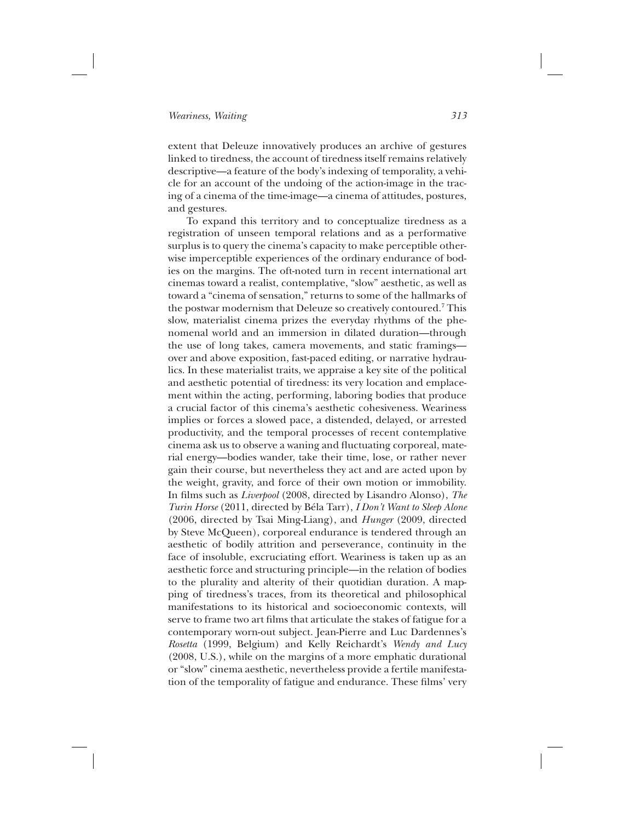extent that Deleuze innovatively produces an archive of gestures linked to tiredness, the account of tiredness itself remains relatively descriptive—a feature of the body's indexing of temporality, a vehicle for an account of the undoing of the action-image in the tracing of a cinema of the time-image—a cinema of attitudes, postures, and gestures.

To expand this territory and to conceptualize tiredness as a registration of unseen temporal relations and as a performative surplus is to query the cinema's capacity to make perceptible otherwise imperceptible experiences of the ordinary endurance of bodies on the margins. The oft-noted turn in recent international art cinemas toward a realist, contemplative, "slow" aesthetic, as well as toward a "cinema of sensation," returns to some of the hallmarks of the postwar modernism that Deleuze so creatively contoured.7 This slow, materialist cinema prizes the everyday rhythms of the phenomenal world and an immersion in dilated duration—through the use of long takes, camera movements, and static framings over and above exposition, fast-paced editing, or narrative hydraulics. In these materialist traits, we appraise a key site of the political and aesthetic potential of tiredness: its very location and emplacement within the acting, performing, laboring bodies that produce a crucial factor of this cinema's aesthetic cohesiveness. Weariness implies or forces a slowed pace, a distended, delayed, or arrested productivity, and the temporal processes of recent contemplative cinema ask us to observe a waning and fluctuating corporeal, material energy—bodies wander, take their time, lose, or rather never gain their course, but nevertheless they act and are acted upon by the weight, gravity, and force of their own motion or immobility. In films such as *Liverpool* (2008, directed by Lisandro Alonso), *The Turin Horse* (2011, directed by Béla Tarr), *I Don't Want to Sleep Alone* (2006, directed by Tsai Ming-Liang), and *Hunger* (2009, directed by Steve McQueen), corporeal endurance is tendered through an aesthetic of bodily attrition and perseverance, continuity in the face of insoluble, excruciating effort. Weariness is taken up as an aesthetic force and structuring principle—in the relation of bodies to the plurality and alterity of their quotidian duration. A mapping of tiredness's traces, from its theoretical and philosophical manifestations to its historical and socioeconomic contexts, will serve to frame two art films that articulate the stakes of fatigue for a contemporary worn-out subject. Jean-Pierre and Luc Dardennes's *Rosetta* (1999, Belgium) and Kelly Reichardt's *Wendy and Lucy* (2008, U.S.), while on the margins of a more emphatic durational or "slow" cinema aesthetic, nevertheless provide a fertile manifestation of the temporality of fatigue and endurance. These films' very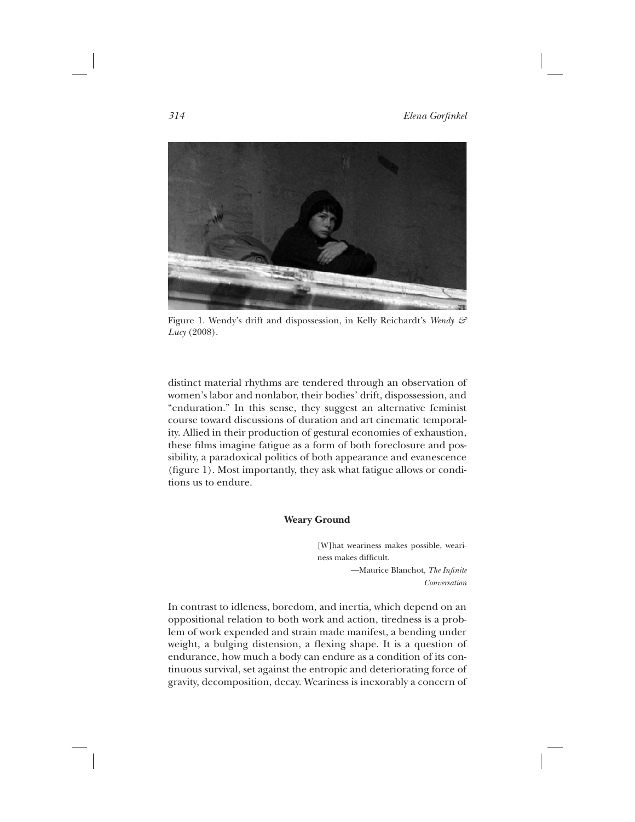

Figure 1. Wendy's drift and dispossession, in Kelly Reichardt's *Wendy & Lucy* (2008).

distinct material rhythms are tendered through an observation of women's labor and nonlabor, their bodies' drift, dispossession, and "enduration." In this sense, they suggest an alternative feminist course toward discussions of duration and art cinematic temporality. Allied in their production of gestural economies of exhaustion, these films imagine fatigue as a form of both foreclosure and possibility, a paradoxical politics of both appearance and evanescence (figure 1). Most importantly, they ask what fatigue allows or conditions us to endure.

# **Weary Ground**

[W]hat weariness makes possible, weariness makes difficult.

> —Maurice Blanchot, *The Infinite Conversation*

In contrast to idleness, boredom, and inertia, which depend on an oppositional relation to both work and action, tiredness is a problem of work expended and strain made manifest, a bending under weight, a bulging distension, a flexing shape. It is a question of endurance, how much a body can endure as a condition of its continuous survival, set against the entropic and deteriorating force of gravity, decomposition, decay. Weariness is inexorably a concern of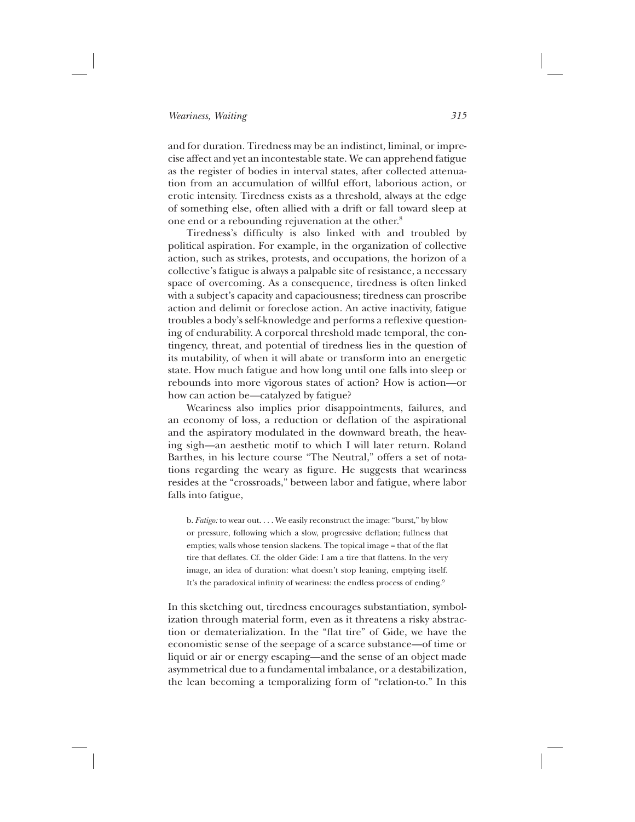and for duration. Tiredness may be an indistinct, liminal, or imprecise affect and yet an incontestable state. We can apprehend fatigue as the register of bodies in interval states, after collected attenuation from an accumulation of willful effort, laborious action, or erotic intensity. Tiredness exists as a threshold, always at the edge of something else, often allied with a drift or fall toward sleep at one end or a rebounding rejuvenation at the other.8

Tiredness's difficulty is also linked with and troubled by political aspiration. For example, in the organization of collective action, such as strikes, protests, and occupations, the horizon of a collective's fatigue is always a palpable site of resistance, a necessary space of overcoming. As a consequence, tiredness is often linked with a subject's capacity and capaciousness; tiredness can proscribe action and delimit or foreclose action. An active inactivity, fatigue troubles a body's self-knowledge and performs a reflexive questioning of endurability. A corporeal threshold made temporal, the contingency, threat, and potential of tiredness lies in the question of its mutability, of when it will abate or transform into an energetic state. How much fatigue and how long until one falls into sleep or rebounds into more vigorous states of action? How is action—or how can action be—catalyzed by fatigue?

Weariness also implies prior disappointments, failures, and an economy of loss, a reduction or deflation of the aspirational and the aspiratory modulated in the downward breath, the heaving sigh—an aesthetic motif to which I will later return. Roland Barthes, in his lecture course "The Neutral," offers a set of notations regarding the weary as figure. He suggests that weariness resides at the "crossroads," between labor and fatigue, where labor falls into fatigue,

b. *Fatigo:* to wear out. . . . We easily reconstruct the image: "burst," by blow or pressure, following which a slow, progressive deflation; fullness that empties; walls whose tension slackens. The topical image = that of the flat tire that deflates. Cf. the older Gide: I am a tire that flattens. In the very image, an idea of duration: what doesn't stop leaning, emptying itself. It's the paradoxical infinity of weariness: the endless process of ending.<sup>9</sup>

In this sketching out, tiredness encourages substantiation, symbolization through material form, even as it threatens a risky abstraction or dematerialization. In the "flat tire" of Gide, we have the economistic sense of the seepage of a scarce substance—of time or liquid or air or energy escaping—and the sense of an object made asymmetrical due to a fundamental imbalance, or a destabilization, the lean becoming a temporalizing form of "relation-to." In this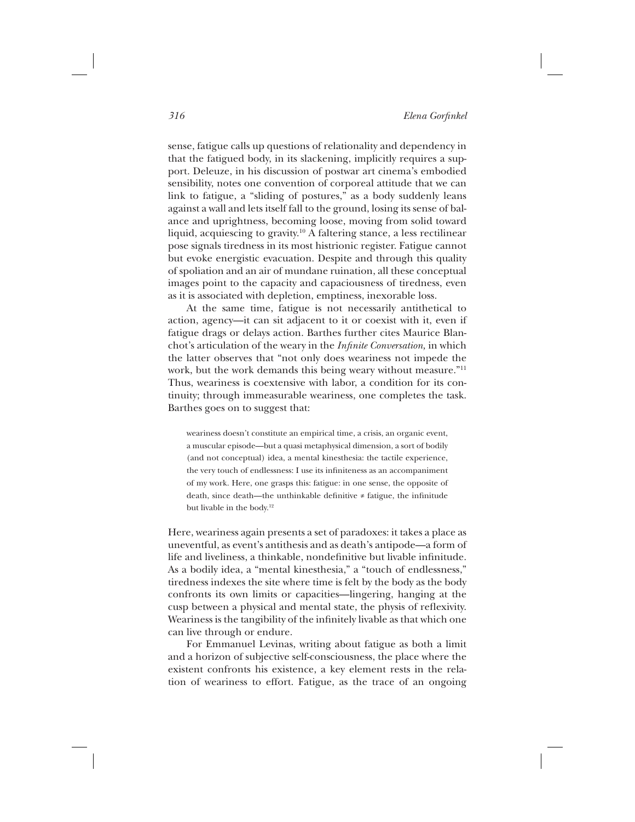sense, fatigue calls up questions of relationality and dependency in that the fatigued body, in its slackening, implicitly requires a support. Deleuze, in his discussion of postwar art cinema's embodied sensibility, notes one convention of corporeal attitude that we can link to fatigue, a "sliding of postures," as a body suddenly leans against a wall and lets itself fall to the ground, losing its sense of balance and uprightness, becoming loose, moving from solid toward liquid, acquiescing to gravity.10 A faltering stance, a less rectilinear pose signals tiredness in its most histrionic register. Fatigue cannot but evoke energistic evacuation. Despite and through this quality of spoliation and an air of mundane ruination, all these conceptual images point to the capacity and capaciousness of tiredness, even as it is associated with depletion, emptiness, inexorable loss.

At the same time, fatigue is not necessarily antithetical to action, agency—it can sit adjacent to it or coexist with it, even if fatigue drags or delays action. Barthes further cites Maurice Blanchot's articulation of the weary in the *Infinite Conversation,* in which the latter observes that "not only does weariness not impede the work, but the work demands this being weary without measure."11 Thus, weariness is coextensive with labor, a condition for its continuity; through immeasurable weariness, one completes the task. Barthes goes on to suggest that:

weariness doesn't constitute an empirical time, a crisis, an organic event, a muscular episode—but a quasi metaphysical dimension, a sort of bodily (and not conceptual) idea, a mental kinesthesia: the tactile experience, the very touch of endlessness: I use its infiniteness as an accompaniment of my work. Here, one grasps this: fatigue: in one sense, the opposite of death, since death—the unthinkable definitive ≠ fatigue, the infinitude but livable in the body.12

Here, weariness again presents a set of paradoxes: it takes a place as uneventful, as event's antithesis and as death's antipode—a form of life and liveliness, a thinkable, nondefinitive but livable infinitude. As a bodily idea, a "mental kinesthesia," a "touch of endlessness," tiredness indexes the site where time is felt by the body as the body confronts its own limits or capacities—lingering, hanging at the cusp between a physical and mental state, the physis of reflexivity. Weariness is the tangibility of the infinitely livable as that which one can live through or endure.

For Emmanuel Levinas, writing about fatigue as both a limit and a horizon of subjective self-consciousness, the place where the existent confronts his existence, a key element rests in the relation of weariness to effort. Fatigue, as the trace of an ongoing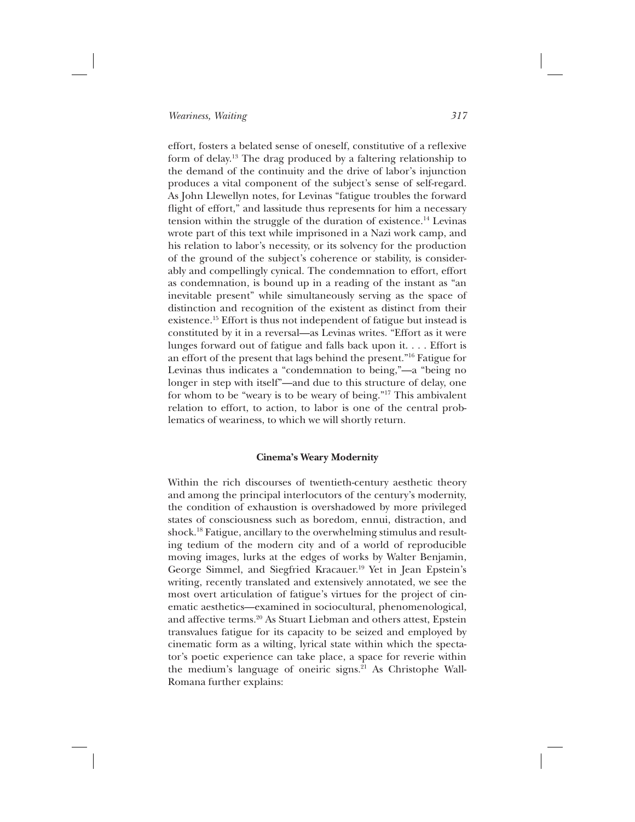effort, fosters a belated sense of oneself, constitutive of a reflexive form of delay.13 The drag produced by a faltering relationship to the demand of the continuity and the drive of labor's injunction produces a vital component of the subject's sense of self-regard. As John Llewellyn notes, for Levinas "fatigue troubles the forward flight of effort," and lassitude thus represents for him a necessary tension within the struggle of the duration of existence.<sup>14</sup> Levinas wrote part of this text while imprisoned in a Nazi work camp, and his relation to labor's necessity, or its solvency for the production of the ground of the subject's coherence or stability, is considerably and compellingly cynical. The condemnation to effort, effort as condemnation, is bound up in a reading of the instant as "an inevitable present" while simultaneously serving as the space of distinction and recognition of the existent as distinct from their existence.15 Effort is thus not independent of fatigue but instead is constituted by it in a reversal—as Levinas writes. "Effort as it were lunges forward out of fatigue and falls back upon it. . . . Effort is an effort of the present that lags behind the present."16 Fatigue for Levinas thus indicates a "condemnation to being,"—a "being no longer in step with itself"—and due to this structure of delay, one for whom to be "weary is to be weary of being."17 This ambivalent relation to effort, to action, to labor is one of the central problematics of weariness, to which we will shortly return.

# **Cinema's Weary Modernity**

Within the rich discourses of twentieth-century aesthetic theory and among the principal interlocutors of the century's modernity, the condition of exhaustion is overshadowed by more privileged states of consciousness such as boredom, ennui, distraction, and shock.18 Fatigue, ancillary to the overwhelming stimulus and resulting tedium of the modern city and of a world of reproducible moving images, lurks at the edges of works by Walter Benjamin, George Simmel, and Siegfried Kracauer.19 Yet in Jean Epstein's writing, recently translated and extensively annotated, we see the most overt articulation of fatigue's virtues for the project of cinematic aesthetics—examined in sociocultural, phenomenological, and affective terms.<sup>20</sup> As Stuart Liebman and others attest, Epstein transvalues fatigue for its capacity to be seized and employed by cinematic form as a wilting, lyrical state within which the spectator's poetic experience can take place, a space for reverie within the medium's language of oneiric signs.<sup>21</sup> As Christophe Wall-Romana further explains: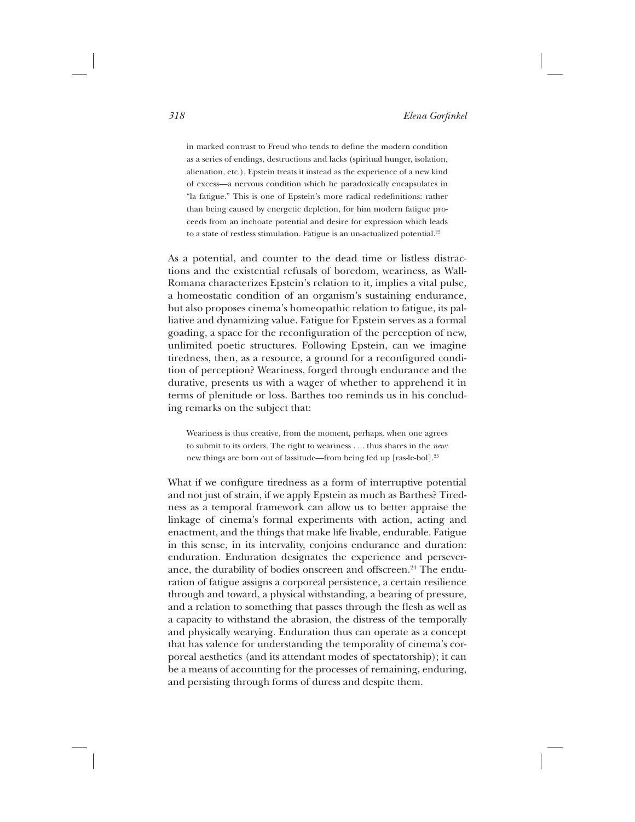in marked contrast to Freud who tends to define the modern condition as a series of endings, destructions and lacks (spiritual hunger, isolation, alienation, etc.), Epstein treats it instead as the experience of a new kind of excess—a nervous condition which he paradoxically encapsulates in "la fatigue." This is one of Epstein's more radical redefinitions: rather than being caused by energetic depletion, for him modern fatigue proceeds from an inchoate potential and desire for expression which leads to a state of restless stimulation. Fatigue is an un-actualized potential.<sup>22</sup>

As a potential, and counter to the dead time or listless distractions and the existential refusals of boredom, weariness, as Wall-Romana characterizes Epstein's relation to it, implies a vital pulse, a homeostatic condition of an organism's sustaining endurance, but also proposes cinema's homeopathic relation to fatigue, its palliative and dynamizing value. Fatigue for Epstein serves as a formal goading, a space for the reconfiguration of the perception of new, unlimited poetic structures. Following Epstein, can we imagine tiredness, then, as a resource, a ground for a reconfigured condition of perception? Weariness, forged through endurance and the durative, presents us with a wager of whether to apprehend it in terms of plenitude or loss. Barthes too reminds us in his concluding remarks on the subject that:

Weariness is thus creative, from the moment, perhaps, when one agrees to submit to its orders. The right to weariness . . . thus shares in the *new:* new things are born out of lassitude—from being fed up [ras-le-bol].<sup>23</sup>

What if we configure tiredness as a form of interruptive potential and not just of strain, if we apply Epstein as much as Barthes? Tiredness as a temporal framework can allow us to better appraise the linkage of cinema's formal experiments with action, acting and enactment, and the things that make life livable, endurable. Fatigue in this sense, in its intervality, conjoins endurance and duration: enduration. Enduration designates the experience and perseverance, the durability of bodies onscreen and offscreen.<sup>24</sup> The enduration of fatigue assigns a corporeal persistence, a certain resilience through and toward, a physical withstanding, a bearing of pressure, and a relation to something that passes through the flesh as well as a capacity to withstand the abrasion, the distress of the temporally and physically wearying. Enduration thus can operate as a concept that has valence for understanding the temporality of cinema's corporeal aesthetics (and its attendant modes of spectatorship); it can be a means of accounting for the processes of remaining, enduring, and persisting through forms of duress and despite them.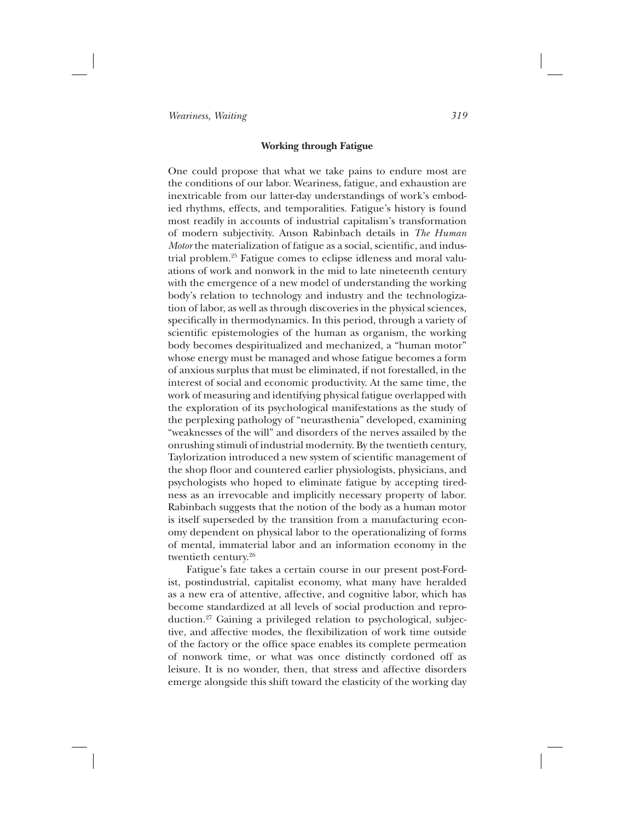#### **Working through Fatigue**

One could propose that what we take pains to endure most are the conditions of our labor. Weariness, fatigue, and exhaustion are inextricable from our latter-day understandings of work's embodied rhythms, effects, and temporalities. Fatigue's history is found most readily in accounts of industrial capitalism's transformation of modern subjectivity. Anson Rabinbach details in *The Human Motor* the materialization of fatigue as a social, scientific, and industrial problem.25 Fatigue comes to eclipse idleness and moral valuations of work and nonwork in the mid to late nineteenth century with the emergence of a new model of understanding the working body's relation to technology and industry and the technologization of labor, as well as through discoveries in the physical sciences, specifically in thermodynamics. In this period, through a variety of scientific epistemologies of the human as organism, the working body becomes despiritualized and mechanized, a "human motor" whose energy must be managed and whose fatigue becomes a form of anxious surplus that must be eliminated, if not forestalled, in the interest of social and economic productivity. At the same time, the work of measuring and identifying physical fatigue overlapped with the exploration of its psychological manifestations as the study of the perplexing pathology of "neurasthenia" developed, examining "weaknesses of the will" and disorders of the nerves assailed by the onrushing stimuli of industrial modernity. By the twentieth century, Taylorization introduced a new system of scientific management of the shop floor and countered earlier physiologists, physicians, and psychologists who hoped to eliminate fatigue by accepting tiredness as an irrevocable and implicitly necessary property of labor. Rabinbach suggests that the notion of the body as a human motor is itself superseded by the transition from a manufacturing economy dependent on physical labor to the operationalizing of forms of mental, immaterial labor and an information economy in the twentieth century.26

Fatigue's fate takes a certain course in our present post-Fordist, postindustrial, capitalist economy, what many have heralded as a new era of attentive, affective, and cognitive labor, which has become standardized at all levels of social production and reproduction.27 Gaining a privileged relation to psychological, subjective, and affective modes, the flexibilization of work time outside of the factory or the office space enables its complete permeation of nonwork time, or what was once distinctly cordoned off as leisure. It is no wonder, then, that stress and affective disorders emerge alongside this shift toward the elasticity of the working day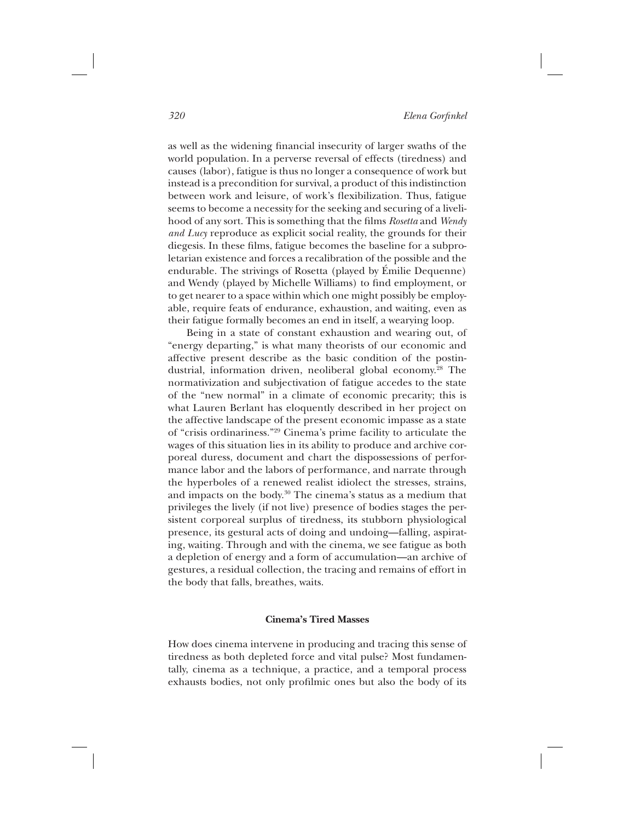as well as the widening financial insecurity of larger swaths of the world population. In a perverse reversal of effects (tiredness) and causes (labor), fatigue is thus no longer a consequence of work but instead is a precondition for survival, a product of this indistinction between work and leisure, of work's flexibilization. Thus, fatigue seems to become a necessity for the seeking and securing of a livelihood of any sort. This is something that the films *Rosetta* and *Wendy and Lucy* reproduce as explicit social reality, the grounds for their diegesis. In these films, fatigue becomes the baseline for a subproletarian existence and forces a recalibration of the possible and the endurable. The strivings of Rosetta (played by Émilie Dequenne) and Wendy (played by Michelle Williams) to find employment, or to get nearer to a space within which one might possibly be employable, require feats of endurance, exhaustion, and waiting, even as their fatigue formally becomes an end in itself, a wearying loop.

Being in a state of constant exhaustion and wearing out, of "energy departing," is what many theorists of our economic and affective present describe as the basic condition of the postindustrial, information driven, neoliberal global economy.28 The normativization and subjectivation of fatigue accedes to the state of the "new normal" in a climate of economic precarity; this is what Lauren Berlant has eloquently described in her project on the affective landscape of the present economic impasse as a state of "crisis ordinariness."29 Cinema's prime facility to articulate the wages of this situation lies in its ability to produce and archive corporeal duress, document and chart the dispossessions of performance labor and the labors of performance, and narrate through the hyperboles of a renewed realist idiolect the stresses, strains, and impacts on the body.30 The cinema's status as a medium that privileges the lively (if not live) presence of bodies stages the persistent corporeal surplus of tiredness, its stubborn physiological presence, its gestural acts of doing and undoing—falling, aspirating, waiting. Through and with the cinema, we see fatigue as both a depletion of energy and a form of accumulation—an archive of gestures, a residual collection, the tracing and remains of effort in the body that falls, breathes, waits.

#### **Cinema's Tired Masses**

How does cinema intervene in producing and tracing this sense of tiredness as both depleted force and vital pulse? Most fundamentally, cinema as a technique, a practice, and a temporal process exhausts bodies, not only profilmic ones but also the body of its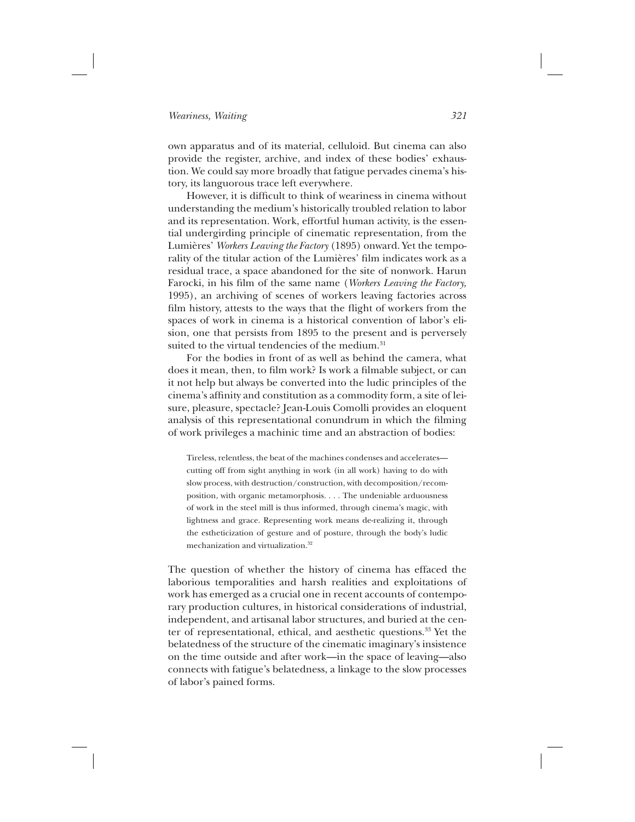own apparatus and of its material, celluloid. But cinema can also provide the register, archive, and index of these bodies' exhaustion. We could say more broadly that fatigue pervades cinema's history, its languorous trace left everywhere.

However, it is difficult to think of weariness in cinema without understanding the medium's historically troubled relation to labor and its representation. Work, effortful human activity, is the essential undergirding principle of cinematic representation, from the Lumières' *Workers Leaving the Factory* (1895) onward. Yet the temporality of the titular action of the Lumières' film indicates work as a residual trace, a space abandoned for the site of nonwork. Harun Farocki, in his film of the same name (*Workers Leaving the Factory,* 1995), an archiving of scenes of workers leaving factories across film history, attests to the ways that the flight of workers from the spaces of work in cinema is a historical convention of labor's elision, one that persists from 1895 to the present and is perversely suited to the virtual tendencies of the medium.<sup>31</sup>

For the bodies in front of as well as behind the camera, what does it mean, then, to film work? Is work a filmable subject, or can it not help but always be converted into the ludic principles of the cinema's affinity and constitution as a commodity form, a site of leisure, pleasure, spectacle? Jean-Louis Comolli provides an eloquent analysis of this representational conundrum in which the filming of work privileges a machinic time and an abstraction of bodies:

Tireless, relentless, the beat of the machines condenses and accelerates cutting off from sight anything in work (in all work) having to do with slow process, with destruction/construction, with decomposition/recomposition, with organic metamorphosis. . . . The undeniable arduousness of work in the steel mill is thus informed, through cinema's magic, with lightness and grace. Representing work means de-realizing it, through the estheticization of gesture and of posture, through the body's ludic mechanization and virtualization.32

The question of whether the history of cinema has effaced the laborious temporalities and harsh realities and exploitations of work has emerged as a crucial one in recent accounts of contemporary production cultures, in historical considerations of industrial, independent, and artisanal labor structures, and buried at the center of representational, ethical, and aesthetic questions.<sup>33</sup> Yet the belatedness of the structure of the cinematic imaginary's insistence on the time outside and after work—in the space of leaving—also connects with fatigue's belatedness, a linkage to the slow processes of labor's pained forms.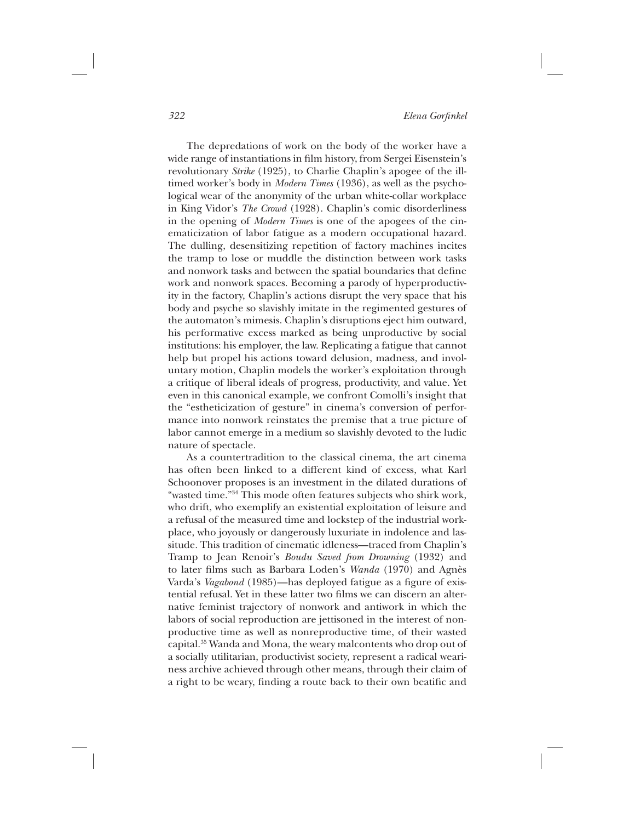The depredations of work on the body of the worker have a wide range of instantiations in film history, from Sergei Eisenstein's revolutionary *Strike* (1925), to Charlie Chaplin's apogee of the illtimed worker's body in *Modern Times* (1936), as well as the psychological wear of the anonymity of the urban white-collar workplace in King Vidor's *The Crowd* (1928). Chaplin's comic disorderliness in the opening of *Modern Times* is one of the apogees of the cinematicization of labor fatigue as a modern occupational hazard. The dulling, desensitizing repetition of factory machines incites the tramp to lose or muddle the distinction between work tasks and nonwork tasks and between the spatial boundaries that define work and nonwork spaces. Becoming a parody of hyperproductivity in the factory, Chaplin's actions disrupt the very space that his body and psyche so slavishly imitate in the regimented gestures of the automaton's mimesis. Chaplin's disruptions eject him outward, his performative excess marked as being unproductive by social institutions: his employer, the law. Replicating a fatigue that cannot help but propel his actions toward delusion, madness, and involuntary motion, Chaplin models the worker's exploitation through a critique of liberal ideals of progress, productivity, and value. Yet even in this canonical example, we confront Comolli's insight that the "estheticization of gesture" in cinema's conversion of performance into nonwork reinstates the premise that a true picture of labor cannot emerge in a medium so slavishly devoted to the ludic nature of spectacle.

As a countertradition to the classical cinema, the art cinema has often been linked to a different kind of excess, what Karl Schoonover proposes is an investment in the dilated durations of "wasted time."34 This mode often features subjects who shirk work, who drift, who exemplify an existential exploitation of leisure and a refusal of the measured time and lockstep of the industrial workplace, who joyously or dangerously luxuriate in indolence and lassitude. This tradition of cinematic idleness—traced from Chaplin's Tramp to Jean Renoir's *Boudu Saved from Drowning* (1932) and to later films such as Barbara Loden's *Wanda* (1970) and Agnès Varda's *Vagabond* (1985)—has deployed fatigue as a figure of existential refusal. Yet in these latter two films we can discern an alternative feminist trajectory of nonwork and antiwork in which the labors of social reproduction are jettisoned in the interest of nonproductive time as well as nonreproductive time, of their wasted capital.35 Wanda and Mona, the weary malcontents who drop out of a socially utilitarian, productivist society, represent a radical weariness archive achieved through other means, through their claim of a right to be weary, finding a route back to their own beatific and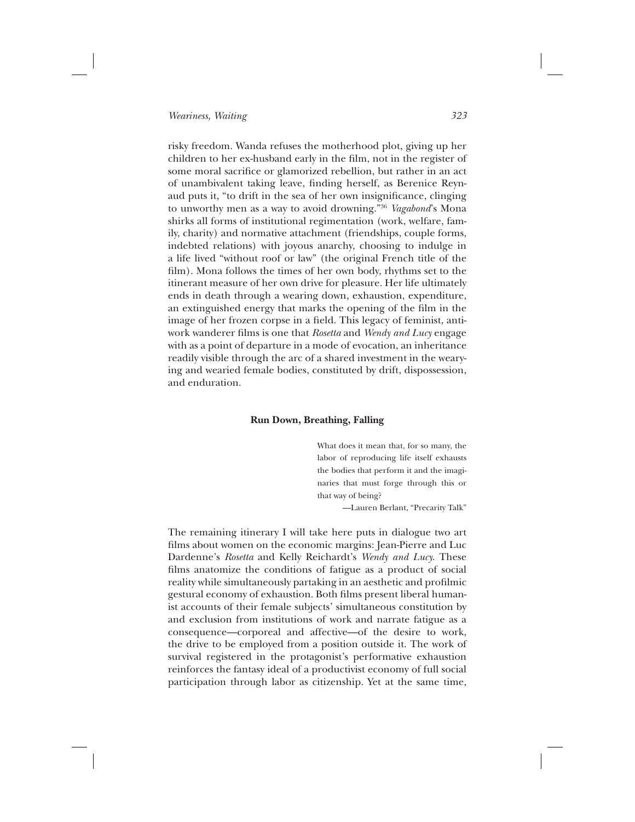risky freedom. Wanda refuses the motherhood plot, giving up her children to her ex-husband early in the film, not in the register of some moral sacrifice or glamorized rebellion, but rather in an act of unambivalent taking leave, finding herself, as Berenice Reynaud puts it, "to drift in the sea of her own insignificance, clinging to unworthy men as a way to avoid drowning."36 *Vagabond*'s Mona shirks all forms of institutional regimentation (work, welfare, family, charity) and normative attachment (friendships, couple forms, indebted relations) with joyous anarchy, choosing to indulge in a life lived "without roof or law" (the original French title of the film). Mona follows the times of her own body, rhythms set to the itinerant measure of her own drive for pleasure. Her life ultimately ends in death through a wearing down, exhaustion, expenditure, an extinguished energy that marks the opening of the film in the image of her frozen corpse in a field. This legacy of feminist, antiwork wanderer films is one that *Rosetta* and *Wendy and Lucy* engage with as a point of departure in a mode of evocation, an inheritance readily visible through the arc of a shared investment in the wearying and wearied female bodies, constituted by drift, dispossession, and enduration.

#### **Run Down, Breathing, Falling**

What does it mean that, for so many, the labor of reproducing life itself exhausts the bodies that perform it and the imaginaries that must forge through this or that way of being?

—Lauren Berlant, "Precarity Talk"

The remaining itinerary I will take here puts in dialogue two art films about women on the economic margins: Jean-Pierre and Luc Dardenne's *Rosetta* and Kelly Reichardt's *Wendy and Lucy.* These films anatomize the conditions of fatigue as a product of social reality while simultaneously partaking in an aesthetic and profilmic gestural economy of exhaustion. Both films present liberal humanist accounts of their female subjects' simultaneous constitution by and exclusion from institutions of work and narrate fatigue as a consequence—corporeal and affective—of the desire to work, the drive to be employed from a position outside it. The work of survival registered in the protagonist's performative exhaustion reinforces the fantasy ideal of a productivist economy of full social participation through labor as citizenship. Yet at the same time,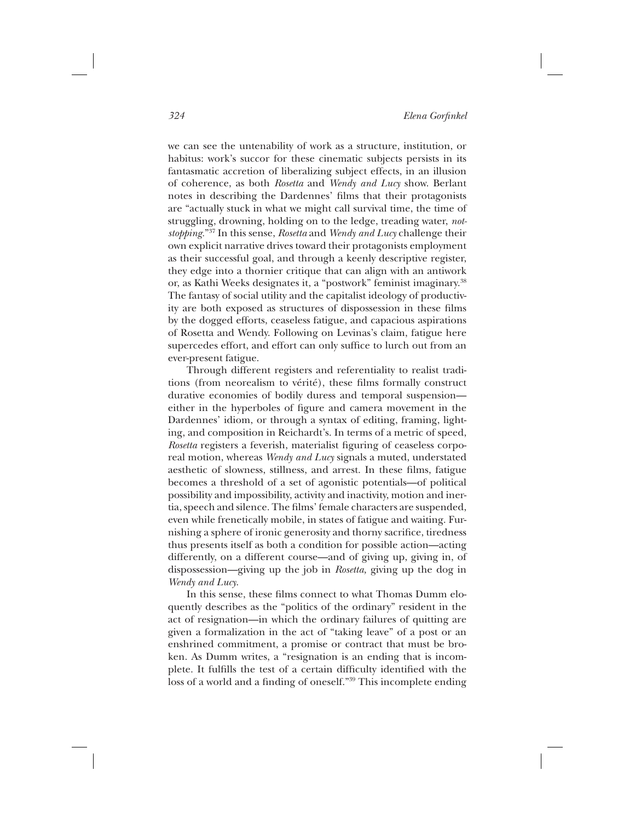we can see the untenability of work as a structure, institution, or habitus: work's succor for these cinematic subjects persists in its fantasmatic accretion of liberalizing subject effects, in an illusion of coherence, as both *Rosetta* and *Wendy and Lucy* show. Berlant notes in describing the Dardennes' films that their protagonists are "actually stuck in what we might call survival time, the time of struggling, drowning, holding on to the ledge, treading water, *notstopping.*"37 In this sense, *Rosetta* and *Wendy and Lucy* challenge their own explicit narrative drives toward their protagonists employment as their successful goal, and through a keenly descriptive register, they edge into a thornier critique that can align with an antiwork or, as Kathi Weeks designates it, a "postwork" feminist imaginary.38 The fantasy of social utility and the capitalist ideology of productivity are both exposed as structures of dispossession in these films by the dogged efforts, ceaseless fatigue, and capacious aspirations of Rosetta and Wendy. Following on Levinas's claim, fatigue here supercedes effort, and effort can only suffice to lurch out from an ever-present fatigue.

Through different registers and referentiality to realist traditions (from neorealism to vérité), these films formally construct durative economies of bodily duress and temporal suspension either in the hyperboles of figure and camera movement in the Dardennes' idiom, or through a syntax of editing, framing, lighting, and composition in Reichardt's. In terms of a metric of speed, *Rosetta* registers a feverish, materialist figuring of ceaseless corporeal motion, whereas *Wendy and Lucy* signals a muted, understated aesthetic of slowness, stillness, and arrest. In these films, fatigue becomes a threshold of a set of agonistic potentials—of political possibility and impossibility, activity and inactivity, motion and inertia, speech and silence. The films' female characters are suspended, even while frenetically mobile, in states of fatigue and waiting. Furnishing a sphere of ironic generosity and thorny sacrifice, tiredness thus presents itself as both a condition for possible action—acting differently, on a different course—and of giving up, giving in, of dispossession—giving up the job in *Rosetta,* giving up the dog in *Wendy and Lucy*.

In this sense, these films connect to what Thomas Dumm eloquently describes as the "politics of the ordinary" resident in the act of resignation—in which the ordinary failures of quitting are given a formalization in the act of "taking leave" of a post or an enshrined commitment, a promise or contract that must be broken. As Dumm writes, a "resignation is an ending that is incomplete. It fulfills the test of a certain difficulty identified with the loss of a world and a finding of oneself."39 This incomplete ending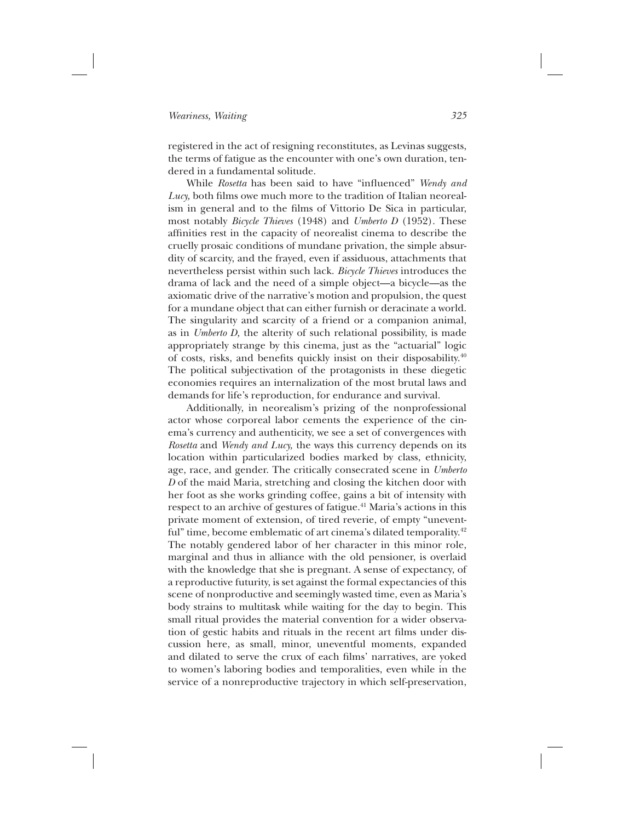registered in the act of resigning reconstitutes, as Levinas suggests, the terms of fatigue as the encounter with one's own duration, tendered in a fundamental solitude.

While *Rosetta* has been said to have "influenced" *Wendy and Lucy,* both films owe much more to the tradition of Italian neorealism in general and to the films of Vittorio De Sica in particular, most notably *Bicycle Thieves* (1948) and *Umberto D* (1952). These affinities rest in the capacity of neorealist cinema to describe the cruelly prosaic conditions of mundane privation, the simple absurdity of scarcity, and the frayed, even if assiduous, attachments that nevertheless persist within such lack. *Bicycle Thieves* introduces the drama of lack and the need of a simple object—a bicycle—as the axiomatic drive of the narrative's motion and propulsion, the quest for a mundane object that can either furnish or deracinate a world. The singularity and scarcity of a friend or a companion animal, as in *Umberto D,* the alterity of such relational possibility, is made appropriately strange by this cinema, just as the "actuarial" logic of costs, risks, and benefits quickly insist on their disposability.40 The political subjectivation of the protagonists in these diegetic economies requires an internalization of the most brutal laws and demands for life's reproduction, for endurance and survival.

Additionally, in neorealism's prizing of the nonprofessional actor whose corporeal labor cements the experience of the cinema's currency and authenticity, we see a set of convergences with *Rosetta* and *Wendy and Lucy,* the ways this currency depends on its location within particularized bodies marked by class, ethnicity, age, race, and gender. The critically consecrated scene in *Umberto D* of the maid Maria, stretching and closing the kitchen door with her foot as she works grinding coffee, gains a bit of intensity with respect to an archive of gestures of fatigue.<sup>41</sup> Maria's actions in this private moment of extension, of tired reverie, of empty "uneventful" time, become emblematic of art cinema's dilated temporality.<sup>42</sup> The notably gendered labor of her character in this minor role, marginal and thus in alliance with the old pensioner, is overlaid with the knowledge that she is pregnant. A sense of expectancy, of a reproductive futurity, is set against the formal expectancies of this scene of nonproductive and seemingly wasted time, even as Maria's body strains to multitask while waiting for the day to begin. This small ritual provides the material convention for a wider observation of gestic habits and rituals in the recent art films under discussion here, as small, minor, uneventful moments, expanded and dilated to serve the crux of each films' narratives, are yoked to women's laboring bodies and temporalities, even while in the service of a nonreproductive trajectory in which self-preservation,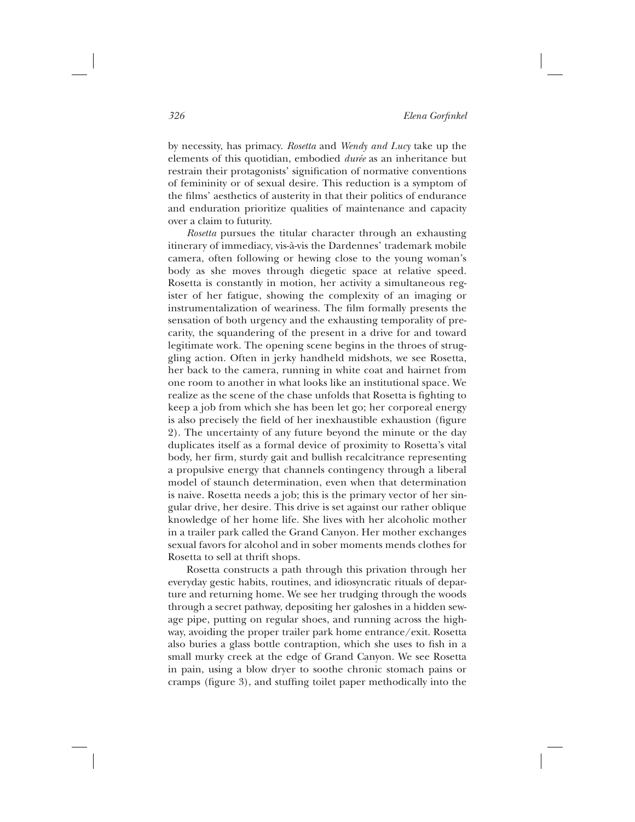by necessity, has primacy. *Rosetta* and *Wendy and Lucy* take up the elements of this quotidian, embodied *durée* as an inheritance but restrain their protagonists' signification of normative conventions of femininity or of sexual desire. This reduction is a symptom of the films' aesthetics of austerity in that their politics of endurance and enduration prioritize qualities of maintenance and capacity over a claim to futurity.

*Rosetta* pursues the titular character through an exhausting itinerary of immediacy, vis-à-vis the Dardennes' trademark mobile camera, often following or hewing close to the young woman's body as she moves through diegetic space at relative speed. Rosetta is constantly in motion, her activity a simultaneous register of her fatigue, showing the complexity of an imaging or instrumentalization of weariness. The film formally presents the sensation of both urgency and the exhausting temporality of precarity, the squandering of the present in a drive for and toward legitimate work. The opening scene begins in the throes of struggling action. Often in jerky handheld midshots, we see Rosetta, her back to the camera, running in white coat and hairnet from one room to another in what looks like an institutional space. We realize as the scene of the chase unfolds that Rosetta is fighting to keep a job from which she has been let go; her corporeal energy is also precisely the field of her inexhaustible exhaustion (figure 2). The uncertainty of any future beyond the minute or the day duplicates itself as a formal device of proximity to Rosetta's vital body, her firm, sturdy gait and bullish recalcitrance representing a propulsive energy that channels contingency through a liberal model of staunch determination, even when that determination is naive. Rosetta needs a job; this is the primary vector of her singular drive, her desire. This drive is set against our rather oblique knowledge of her home life. She lives with her alcoholic mother in a trailer park called the Grand Canyon. Her mother exchanges sexual favors for alcohol and in sober moments mends clothes for Rosetta to sell at thrift shops.

Rosetta constructs a path through this privation through her everyday gestic habits, routines, and idiosyncratic rituals of departure and returning home. We see her trudging through the woods through a secret pathway, depositing her galoshes in a hidden sewage pipe, putting on regular shoes, and running across the highway, avoiding the proper trailer park home entrance/exit. Rosetta also buries a glass bottle contraption, which she uses to fish in a small murky creek at the edge of Grand Canyon. We see Rosetta in pain, using a blow dryer to soothe chronic stomach pains or cramps (figure 3), and stuffing toilet paper methodically into the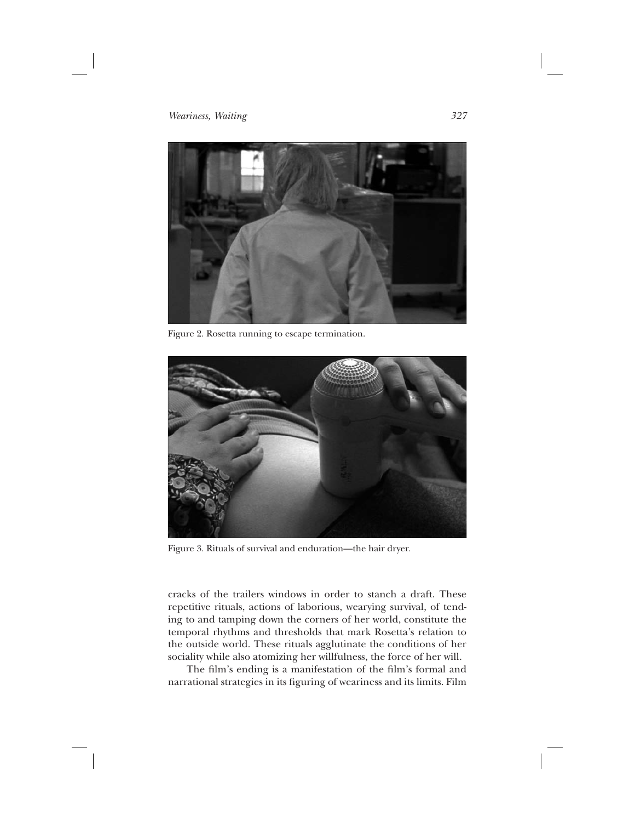

Figure 2. Rosetta running to escape termination.



Figure 3. Rituals of survival and enduration—the hair dryer.

cracks of the trailers windows in order to stanch a draft. These repetitive rituals, actions of laborious, wearying survival, of tending to and tamping down the corners of her world, constitute the temporal rhythms and thresholds that mark Rosetta's relation to the outside world. These rituals agglutinate the conditions of her sociality while also atomizing her willfulness, the force of her will.

The film's ending is a manifestation of the film's formal and narrational strategies in its figuring of weariness and its limits. Film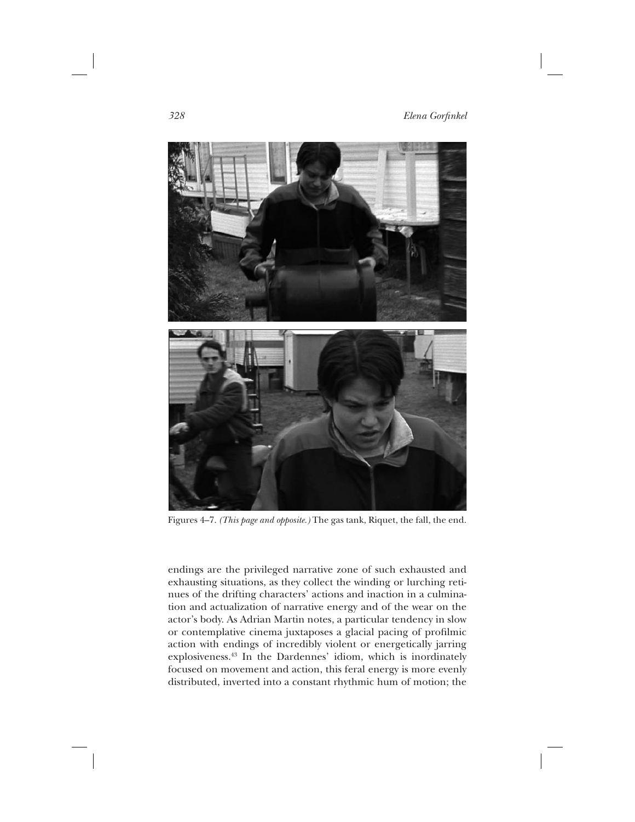

Figures 4–7. *(This page and opposite.)* The gas tank, Riquet, the fall, the end.

endings are the privileged narrative zone of such exhausted and exhausting situations, as they collect the winding or lurching retinues of the drifting characters' actions and inaction in a culmination and actualization of narrative energy and of the wear on the actor's body. As Adrian Martin notes, a particular tendency in slow or contemplative cinema juxtaposes a glacial pacing of profilmic action with endings of incredibly violent or energetically jarring explosiveness.43 In the Dardennes' idiom, which is inordinately focused on movement and action, this feral energy is more evenly distributed, inverted into a constant rhythmic hum of motion; the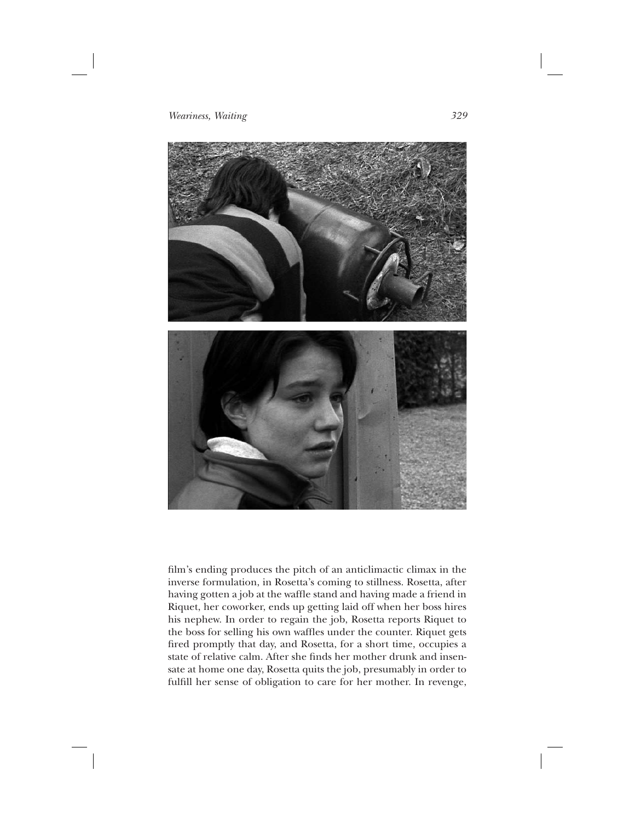

film's ending produces the pitch of an anticlimactic climax in the inverse formulation, in Rosetta's coming to stillness. Rosetta, after having gotten a job at the waffle stand and having made a friend in Riquet, her coworker, ends up getting laid off when her boss hires his nephew. In order to regain the job, Rosetta reports Riquet to the boss for selling his own waffles under the counter. Riquet gets fired promptly that day, and Rosetta, for a short time, occupies a state of relative calm. After she finds her mother drunk and insensate at home one day, Rosetta quits the job, presumably in order to fulfill her sense of obligation to care for her mother. In revenge,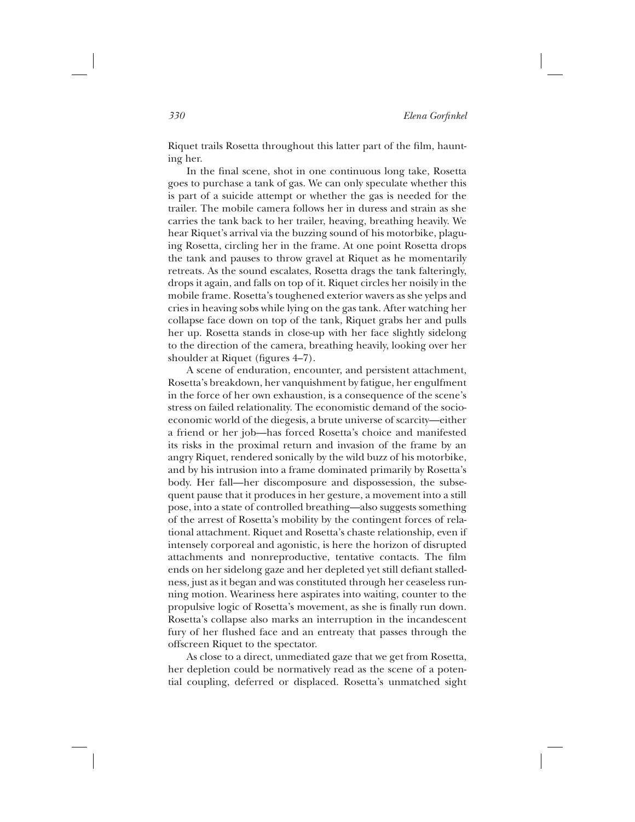Riquet trails Rosetta throughout this latter part of the film, haunting her.

In the final scene, shot in one continuous long take, Rosetta goes to purchase a tank of gas. We can only speculate whether this is part of a suicide attempt or whether the gas is needed for the trailer. The mobile camera follows her in duress and strain as she carries the tank back to her trailer, heaving, breathing heavily. We hear Riquet's arrival via the buzzing sound of his motorbike, plaguing Rosetta, circling her in the frame. At one point Rosetta drops the tank and pauses to throw gravel at Riquet as he momentarily retreats. As the sound escalates, Rosetta drags the tank falteringly, drops it again, and falls on top of it. Riquet circles her noisily in the mobile frame. Rosetta's toughened exterior wavers as she yelps and cries in heaving sobs while lying on the gas tank. After watching her collapse face down on top of the tank, Riquet grabs her and pulls her up. Rosetta stands in close-up with her face slightly sidelong to the direction of the camera, breathing heavily, looking over her shoulder at Riquet (figures 4–7).

A scene of enduration, encounter, and persistent attachment, Rosetta's breakdown, her vanquishment by fatigue, her engulfment in the force of her own exhaustion, is a consequence of the scene's stress on failed relationality. The economistic demand of the socioeconomic world of the diegesis, a brute universe of scarcity—either a friend or her job—has forced Rosetta's choice and manifested its risks in the proximal return and invasion of the frame by an angry Riquet, rendered sonically by the wild buzz of his motorbike, and by his intrusion into a frame dominated primarily by Rosetta's body. Her fall—her discomposure and dispossession, the subsequent pause that it produces in her gesture, a movement into a still pose, into a state of controlled breathing—also suggests something of the arrest of Rosetta's mobility by the contingent forces of relational attachment. Riquet and Rosetta's chaste relationship, even if intensely corporeal and agonistic, is here the horizon of disrupted attachments and nonreproductive, tentative contacts. The film ends on her sidelong gaze and her depleted yet still defiant stalledness, just as it began and was constituted through her ceaseless running motion. Weariness here aspirates into waiting, counter to the propulsive logic of Rosetta's movement, as she is finally run down. Rosetta's collapse also marks an interruption in the incandescent fury of her flushed face and an entreaty that passes through the offscreen Riquet to the spectator.

As close to a direct, unmediated gaze that we get from Rosetta, her depletion could be normatively read as the scene of a potential coupling, deferred or displaced. Rosetta's unmatched sight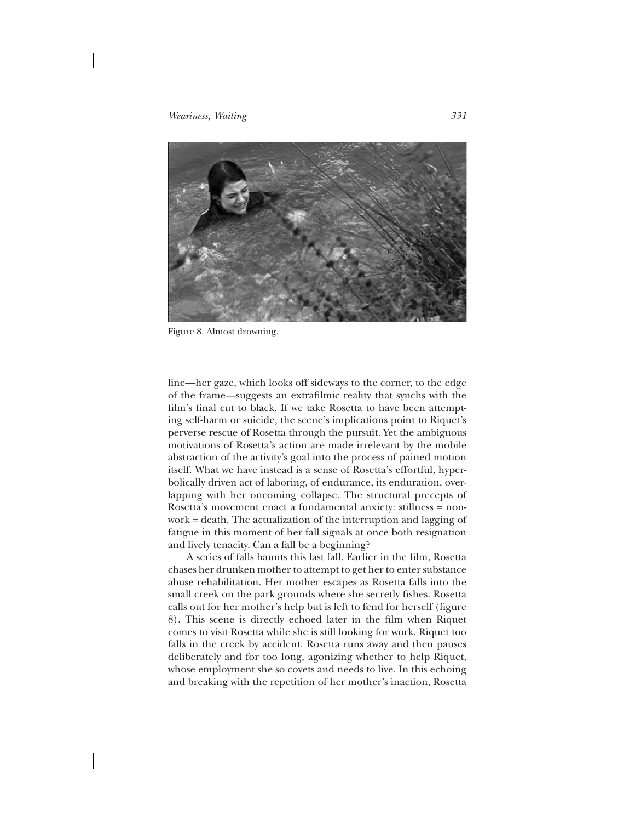

Figure 8. Almost drowning.

line—her gaze, which looks off sideways to the corner, to the edge of the frame—suggests an extrafilmic reality that synchs with the film's final cut to black. If we take Rosetta to have been attempting self-harm or suicide, the scene's implications point to Riquet's perverse rescue of Rosetta through the pursuit. Yet the ambiguous motivations of Rosetta's action are made irrelevant by the mobile abstraction of the activity's goal into the process of pained motion itself. What we have instead is a sense of Rosetta's effortful, hyperbolically driven act of laboring, of endurance, its enduration, overlapping with her oncoming collapse. The structural precepts of Rosetta's movement enact a fundamental anxiety: stillness = nonwork = death. The actualization of the interruption and lagging of fatigue in this moment of her fall signals at once both resignation and lively tenacity. Can a fall be a beginning?

A series of falls haunts this last fall. Earlier in the film, Rosetta chases her drunken mother to attempt to get her to enter substance abuse rehabilitation. Her mother escapes as Rosetta falls into the small creek on the park grounds where she secretly fishes. Rosetta calls out for her mother's help but is left to fend for herself (figure 8). This scene is directly echoed later in the film when Riquet comes to visit Rosetta while she is still looking for work. Riquet too falls in the creek by accident. Rosetta runs away and then pauses deliberately and for too long, agonizing whether to help Riquet, whose employment she so covets and needs to live. In this echoing and breaking with the repetition of her mother's inaction, Rosetta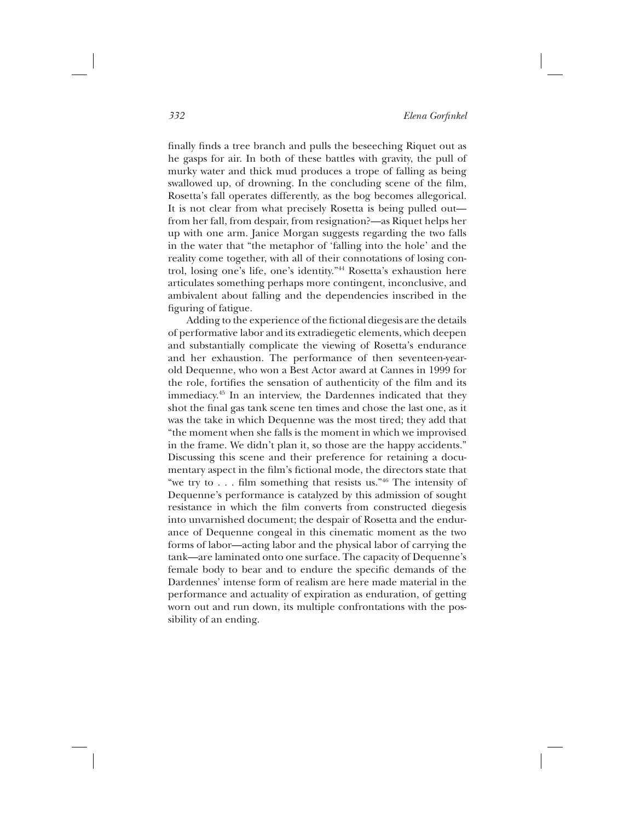finally finds a tree branch and pulls the beseeching Riquet out as he gasps for air. In both of these battles with gravity, the pull of murky water and thick mud produces a trope of falling as being swallowed up, of drowning. In the concluding scene of the film, Rosetta's fall operates differently, as the bog becomes allegorical. It is not clear from what precisely Rosetta is being pulled out from her fall, from despair, from resignation?—as Riquet helps her up with one arm. Janice Morgan suggests regarding the two falls in the water that "the metaphor of 'falling into the hole' and the reality come together, with all of their connotations of losing control, losing one's life, one's identity."44 Rosetta's exhaustion here articulates something perhaps more contingent, inconclusive, and ambivalent about falling and the dependencies inscribed in the figuring of fatigue.

Adding to the experience of the fictional diegesis are the details of performative labor and its extradiegetic elements, which deepen and substantially complicate the viewing of Rosetta's endurance and her exhaustion. The performance of then seventeen-yearold Dequenne, who won a Best Actor award at Cannes in 1999 for the role, fortifies the sensation of authenticity of the film and its immediacy.45 In an interview, the Dardennes indicated that they shot the final gas tank scene ten times and chose the last one, as it was the take in which Dequenne was the most tired; they add that "the moment when she falls is the moment in which we improvised in the frame. We didn't plan it, so those are the happy accidents." Discussing this scene and their preference for retaining a documentary aspect in the film's fictional mode, the directors state that "we try to  $\ldots$  film something that resists us."<sup>46</sup> The intensity of Dequenne's performance is catalyzed by this admission of sought resistance in which the film converts from constructed diegesis into unvarnished document; the despair of Rosetta and the endurance of Dequenne congeal in this cinematic moment as the two forms of labor—acting labor and the physical labor of carrying the tank—are laminated onto one surface. The capacity of Dequenne's female body to bear and to endure the specific demands of the Dardennes' intense form of realism are here made material in the performance and actuality of expiration as enduration, of getting worn out and run down, its multiple confrontations with the possibility of an ending.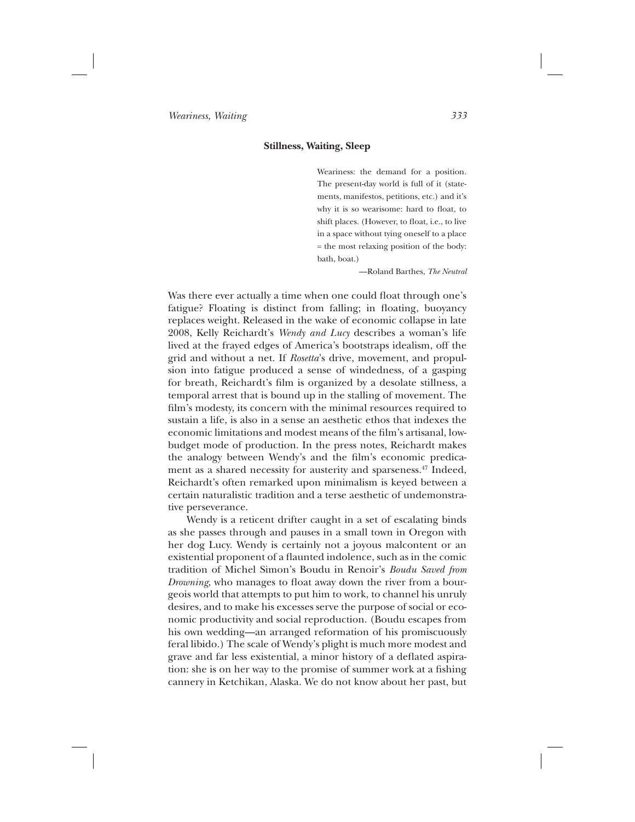### **Stillness, Waiting, Sleep**

Weariness: the demand for a position. The present-day world is full of it (statements, manifestos, petitions, etc.) and it's why it is so wearisome: hard to float, to shift places. (However, to float, i.e., to live in a space without tying oneself to a place = the most relaxing position of the body: bath, boat.)

—Roland Barthes, *The Neutral*

Was there ever actually a time when one could float through one's fatigue? Floating is distinct from falling; in floating, buoyancy replaces weight. Released in the wake of economic collapse in late 2008, Kelly Reichardt's *Wendy and Lucy* describes a woman's life lived at the frayed edges of America's bootstraps idealism, off the grid and without a net. If *Rosetta*'s drive, movement, and propulsion into fatigue produced a sense of windedness, of a gasping for breath, Reichardt's film is organized by a desolate stillness, a temporal arrest that is bound up in the stalling of movement. The film's modesty, its concern with the minimal resources required to sustain a life, is also in a sense an aesthetic ethos that indexes the economic limitations and modest means of the film's artisanal, lowbudget mode of production. In the press notes, Reichardt makes the analogy between Wendy's and the film's economic predicament as a shared necessity for austerity and sparseness.<sup>47</sup> Indeed, Reichardt's often remarked upon minimalism is keyed between a certain naturalistic tradition and a terse aesthetic of undemonstrative perseverance.

Wendy is a reticent drifter caught in a set of escalating binds as she passes through and pauses in a small town in Oregon with her dog Lucy. Wendy is certainly not a joyous malcontent or an existential proponent of a flaunted indolence, such as in the comic tradition of Michel Simon's Boudu in Renoir's *Boudu Saved from Drowning*, who manages to float away down the river from a bourgeois world that attempts to put him to work, to channel his unruly desires, and to make his excesses serve the purpose of social or economic productivity and social reproduction. (Boudu escapes from his own wedding—an arranged reformation of his promiscuously feral libido.) The scale of Wendy's plight is much more modest and grave and far less existential, a minor history of a deflated aspiration: she is on her way to the promise of summer work at a fishing cannery in Ketchikan, Alaska. We do not know about her past, but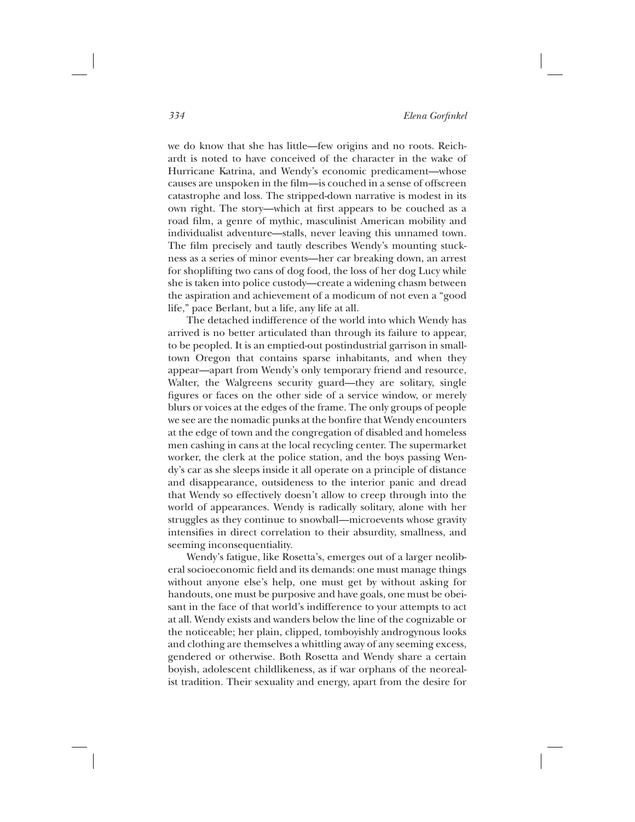we do know that she has little—few origins and no roots. Reichardt is noted to have conceived of the character in the wake of Hurricane Katrina, and Wendy's economic predicament—whose causes are unspoken in the film—is couched in a sense of offscreen catastrophe and loss. The stripped-down narrative is modest in its own right. The story—which at first appears to be couched as a road film, a genre of mythic, masculinist American mobility and individualist adventure—stalls, never leaving this unnamed town. The film precisely and tautly describes Wendy's mounting stuckness as a series of minor events—her car breaking down, an arrest for shoplifting two cans of dog food, the loss of her dog Lucy while she is taken into police custody—create a widening chasm between the aspiration and achievement of a modicum of not even a "good life," pace Berlant, but a life, any life at all.

The detached indifference of the world into which Wendy has arrived is no better articulated than through its failure to appear, to be peopled. It is an emptied-out postindustrial garrison in smalltown Oregon that contains sparse inhabitants, and when they appear—apart from Wendy's only temporary friend and resource, Walter, the Walgreens security guard—they are solitary, single figures or faces on the other side of a service window, or merely blurs or voices at the edges of the frame. The only groups of people we see are the nomadic punks at the bonfire that Wendy encounters at the edge of town and the congregation of disabled and homeless men cashing in cans at the local recycling center. The supermarket worker, the clerk at the police station, and the boys passing Wendy's car as she sleeps inside it all operate on a principle of distance and disappearance, outsideness to the interior panic and dread that Wendy so effectively doesn't allow to creep through into the world of appearances. Wendy is radically solitary, alone with her struggles as they continue to snowball—microevents whose gravity intensifies in direct correlation to their absurdity, smallness, and seeming inconsequentiality.

Wendy's fatigue, like Rosetta's, emerges out of a larger neoliberal socioeconomic field and its demands: one must manage things without anyone else's help, one must get by without asking for handouts, one must be purposive and have goals, one must be obeisant in the face of that world's indifference to your attempts to act at all. Wendy exists and wanders below the line of the cognizable or the noticeable; her plain, clipped, tomboyishly androgynous looks and clothing are themselves a whittling away of any seeming excess, gendered or otherwise. Both Rosetta and Wendy share a certain boyish, adolescent childlikeness, as if war orphans of the neorealist tradition. Their sexuality and energy, apart from the desire for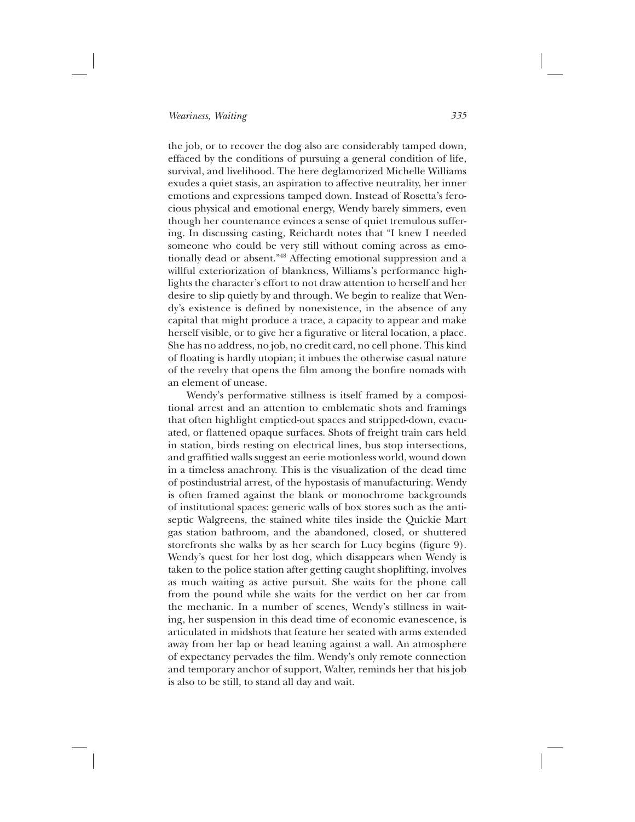the job, or to recover the dog also are considerably tamped down, effaced by the conditions of pursuing a general condition of life, survival, and livelihood. The here deglamorized Michelle Williams exudes a quiet stasis, an aspiration to affective neutrality, her inner emotions and expressions tamped down. Instead of Rosetta's ferocious physical and emotional energy, Wendy barely simmers, even though her countenance evinces a sense of quiet tremulous suffering. In discussing casting, Reichardt notes that "I knew I needed someone who could be very still without coming across as emotionally dead or absent."48 Affecting emotional suppression and a willful exteriorization of blankness, Williams's performance highlights the character's effort to not draw attention to herself and her desire to slip quietly by and through. We begin to realize that Wendy's existence is defined by nonexistence, in the absence of any capital that might produce a trace, a capacity to appear and make herself visible, or to give her a figurative or literal location, a place. She has no address, no job, no credit card, no cell phone. This kind of floating is hardly utopian; it imbues the otherwise casual nature of the revelry that opens the film among the bonfire nomads with an element of unease.

Wendy's performative stillness is itself framed by a compositional arrest and an attention to emblematic shots and framings that often highlight emptied-out spaces and stripped-down, evacuated, or flattened opaque surfaces. Shots of freight train cars held in station, birds resting on electrical lines, bus stop intersections, and graffitied walls suggest an eerie motionless world, wound down in a timeless anachrony. This is the visualization of the dead time of postindustrial arrest, of the hypostasis of manufacturing. Wendy is often framed against the blank or monochrome backgrounds of institutional spaces: generic walls of box stores such as the antiseptic Walgreens, the stained white tiles inside the Quickie Mart gas station bathroom, and the abandoned, closed, or shuttered storefronts she walks by as her search for Lucy begins (figure 9). Wendy's quest for her lost dog, which disappears when Wendy is taken to the police station after getting caught shoplifting, involves as much waiting as active pursuit. She waits for the phone call from the pound while she waits for the verdict on her car from the mechanic. In a number of scenes, Wendy's stillness in waiting, her suspension in this dead time of economic evanescence, is articulated in midshots that feature her seated with arms extended away from her lap or head leaning against a wall. An atmosphere of expectancy pervades the film. Wendy's only remote connection and temporary anchor of support, Walter, reminds her that his job is also to be still, to stand all day and wait.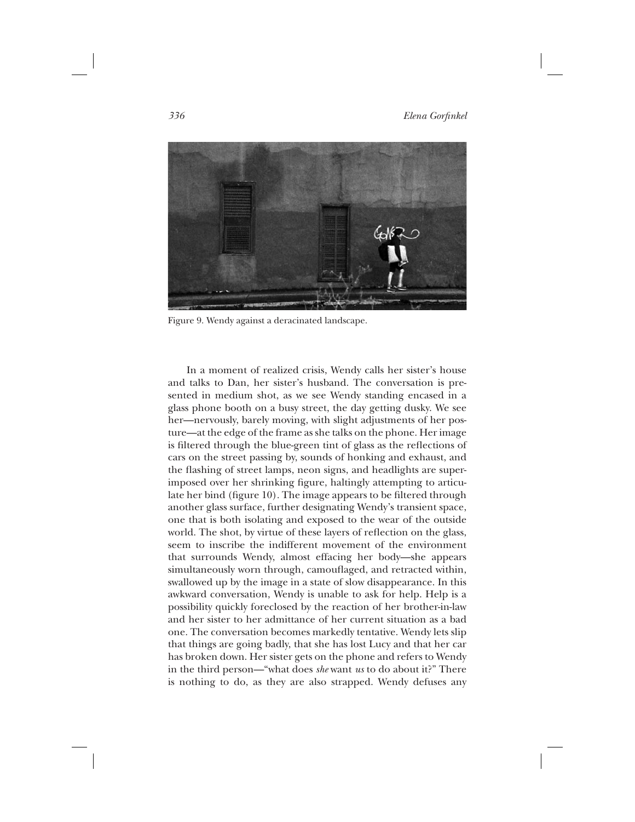

Figure 9. Wendy against a deracinated landscape.

In a moment of realized crisis, Wendy calls her sister's house and talks to Dan, her sister's husband. The conversation is presented in medium shot, as we see Wendy standing encased in a glass phone booth on a busy street, the day getting dusky. We see her—nervously, barely moving, with slight adjustments of her posture—at the edge of the frame as she talks on the phone. Her image is filtered through the blue-green tint of glass as the reflections of cars on the street passing by, sounds of honking and exhaust, and the flashing of street lamps, neon signs, and headlights are superimposed over her shrinking figure, haltingly attempting to articulate her bind (figure 10). The image appears to be filtered through another glass surface, further designating Wendy's transient space, one that is both isolating and exposed to the wear of the outside world. The shot, by virtue of these layers of reflection on the glass, seem to inscribe the indifferent movement of the environment that surrounds Wendy, almost effacing her body—she appears simultaneously worn through, camouflaged, and retracted within, swallowed up by the image in a state of slow disappearance. In this awkward conversation, Wendy is unable to ask for help. Help is a possibility quickly foreclosed by the reaction of her brother-in-law and her sister to her admittance of her current situation as a bad one. The conversation becomes markedly tentative. Wendy lets slip that things are going badly, that she has lost Lucy and that her car has broken down. Her sister gets on the phone and refers to Wendy in the third person—"what does *she* want *us* to do about it?" There is nothing to do, as they are also strapped. Wendy defuses any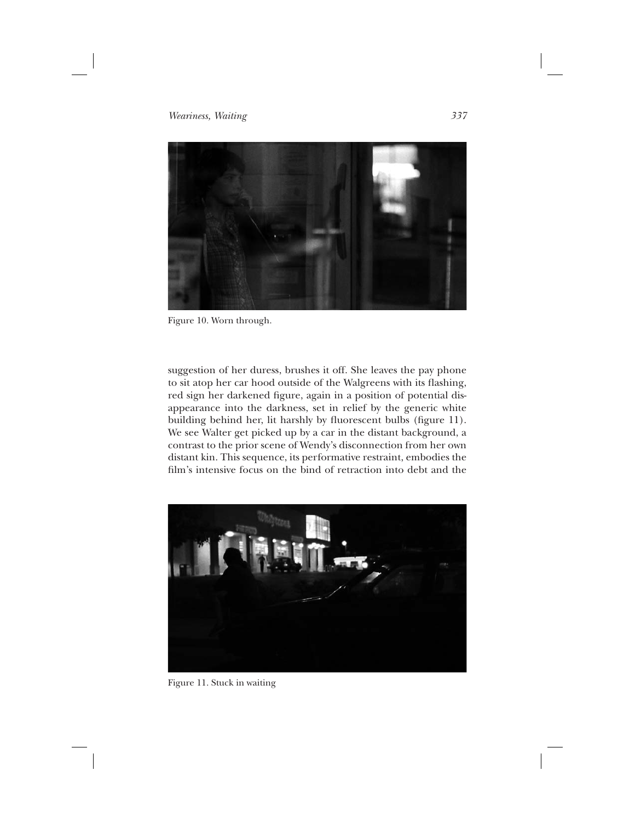

Figure 10. Worn through.

suggestion of her duress, brushes it off. She leaves the pay phone to sit atop her car hood outside of the Walgreens with its flashing, red sign her darkened figure, again in a position of potential disappearance into the darkness, set in relief by the generic white building behind her, lit harshly by fluorescent bulbs (figure 11). We see Walter get picked up by a car in the distant background, a contrast to the prior scene of Wendy's disconnection from her own distant kin. This sequence, its performative restraint, embodies the film's intensive focus on the bind of retraction into debt and the



Figure 11. Stuck in waiting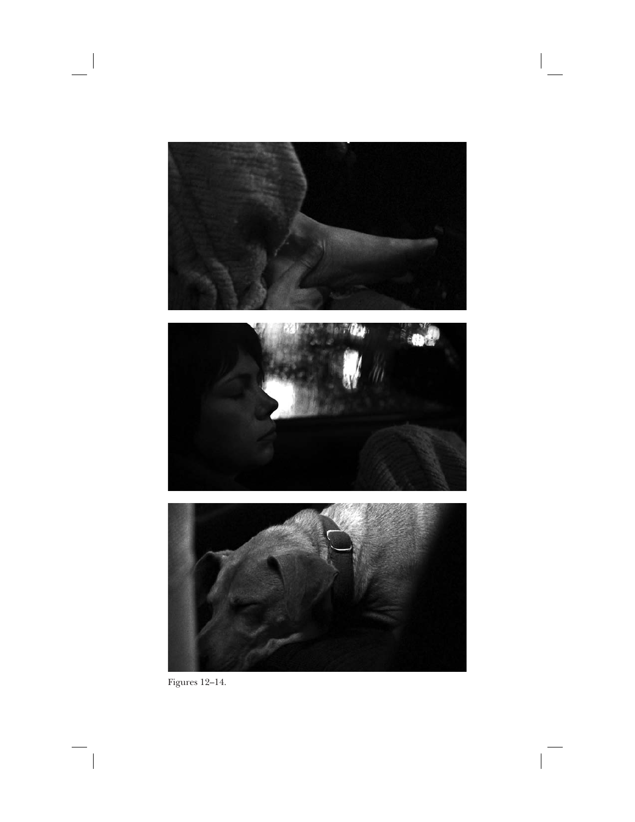





Figures 12–14.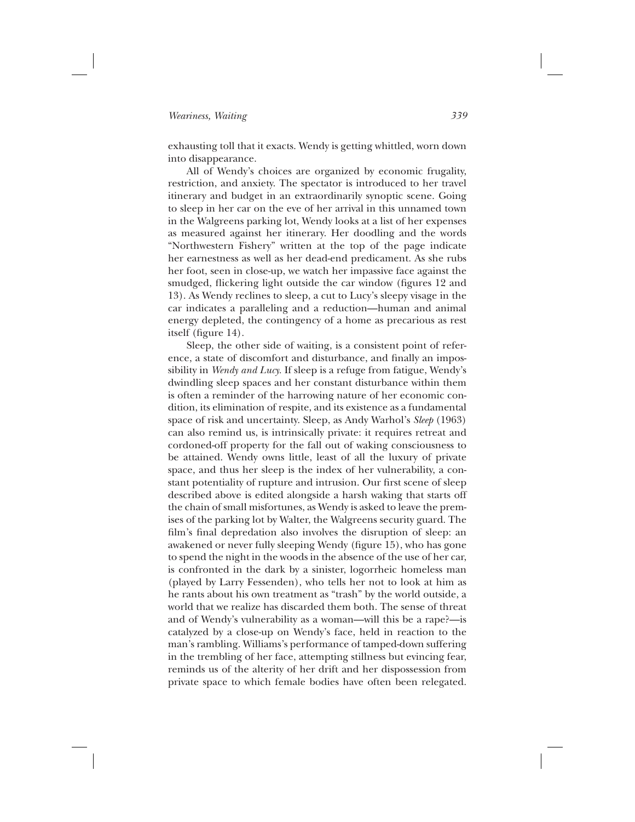exhausting toll that it exacts. Wendy is getting whittled, worn down into disappearance.

All of Wendy's choices are organized by economic frugality, restriction, and anxiety. The spectator is introduced to her travel itinerary and budget in an extraordinarily synoptic scene. Going to sleep in her car on the eve of her arrival in this unnamed town in the Walgreens parking lot, Wendy looks at a list of her expenses as measured against her itinerary. Her doodling and the words "Northwestern Fishery" written at the top of the page indicate her earnestness as well as her dead-end predicament. As she rubs her foot, seen in close-up, we watch her impassive face against the smudged, flickering light outside the car window (figures 12 and 13). As Wendy reclines to sleep, a cut to Lucy's sleepy visage in the car indicates a paralleling and a reduction—human and animal energy depleted, the contingency of a home as precarious as rest itself (figure 14).

Sleep, the other side of waiting, is a consistent point of reference, a state of discomfort and disturbance, and finally an impossibility in *Wendy and Lucy.* If sleep is a refuge from fatigue, Wendy's dwindling sleep spaces and her constant disturbance within them is often a reminder of the harrowing nature of her economic condition, its elimination of respite, and its existence as a fundamental space of risk and uncertainty. Sleep, as Andy Warhol's *Sleep* (1963) can also remind us, is intrinsically private: it requires retreat and cordoned-off property for the fall out of waking consciousness to be attained. Wendy owns little, least of all the luxury of private space, and thus her sleep is the index of her vulnerability, a constant potentiality of rupture and intrusion. Our first scene of sleep described above is edited alongside a harsh waking that starts off the chain of small misfortunes, as Wendy is asked to leave the premises of the parking lot by Walter, the Walgreens security guard. The film's final depredation also involves the disruption of sleep: an awakened or never fully sleeping Wendy (figure 15), who has gone to spend the night in the woods in the absence of the use of her car, is confronted in the dark by a sinister, logorrheic homeless man (played by Larry Fessenden), who tells her not to look at him as he rants about his own treatment as "trash" by the world outside, a world that we realize has discarded them both. The sense of threat and of Wendy's vulnerability as a woman—will this be a rape?—is catalyzed by a close-up on Wendy's face, held in reaction to the man's rambling. Williams's performance of tamped-down suffering in the trembling of her face, attempting stillness but evincing fear, reminds us of the alterity of her drift and her dispossession from private space to which female bodies have often been relegated.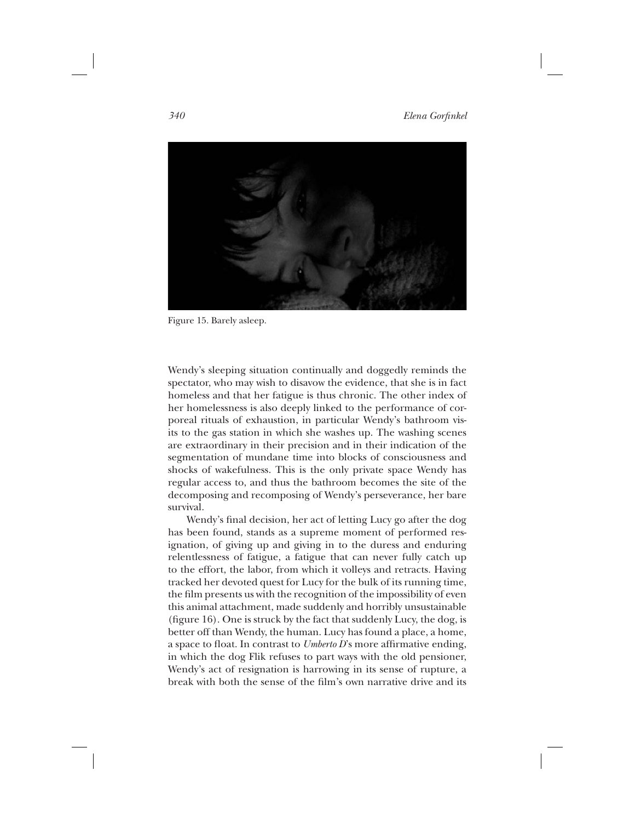

Figure 15. Barely asleep.

Wendy's sleeping situation continually and doggedly reminds the spectator, who may wish to disavow the evidence, that she is in fact homeless and that her fatigue is thus chronic. The other index of her homelessness is also deeply linked to the performance of corporeal rituals of exhaustion, in particular Wendy's bathroom visits to the gas station in which she washes up. The washing scenes are extraordinary in their precision and in their indication of the segmentation of mundane time into blocks of consciousness and shocks of wakefulness. This is the only private space Wendy has regular access to, and thus the bathroom becomes the site of the decomposing and recomposing of Wendy's perseverance, her bare survival.

Wendy's final decision, her act of letting Lucy go after the dog has been found, stands as a supreme moment of performed resignation, of giving up and giving in to the duress and enduring relentlessness of fatigue, a fatigue that can never fully catch up to the effort, the labor, from which it volleys and retracts. Having tracked her devoted quest for Lucy for the bulk of its running time, the film presents us with the recognition of the impossibility of even this animal attachment, made suddenly and horribly unsustainable (figure 16). One is struck by the fact that suddenly Lucy, the dog, is better off than Wendy, the human. Lucy has found a place, a home, a space to float. In contrast to *Umberto D*'s more affirmative ending, in which the dog Flik refuses to part ways with the old pensioner, Wendy's act of resignation is harrowing in its sense of rupture, a break with both the sense of the film's own narrative drive and its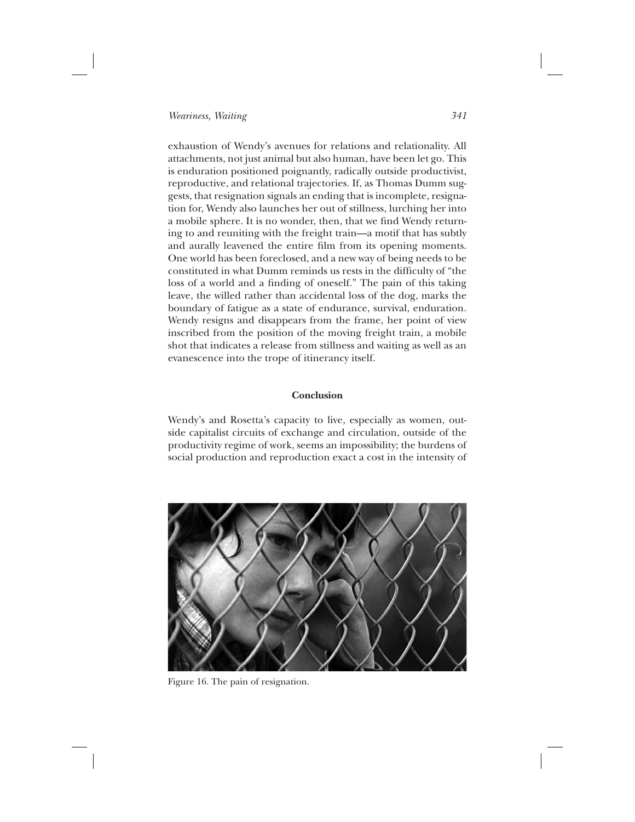exhaustion of Wendy's avenues for relations and relationality. All attachments, not just animal but also human, have been let go. This is enduration positioned poignantly, radically outside productivist, reproductive, and relational trajectories. If, as Thomas Dumm suggests, that resignation signals an ending that is incomplete, resignation for, Wendy also launches her out of stillness, lurching her into a mobile sphere. It is no wonder, then, that we find Wendy returning to and reuniting with the freight train—a motif that has subtly and aurally leavened the entire film from its opening moments. One world has been foreclosed, and a new way of being needs to be constituted in what Dumm reminds us rests in the difficulty of "the loss of a world and a finding of oneself." The pain of this taking leave, the willed rather than accidental loss of the dog, marks the boundary of fatigue as a state of endurance, survival, enduration. Wendy resigns and disappears from the frame, her point of view inscribed from the position of the moving freight train, a mobile shot that indicates a release from stillness and waiting as well as an evanescence into the trope of itinerancy itself.

# **Conclusion**

Wendy's and Rosetta's capacity to live, especially as women, outside capitalist circuits of exchange and circulation, outside of the productivity regime of work, seems an impossibility; the burdens of social production and reproduction exact a cost in the intensity of



Figure 16. The pain of resignation.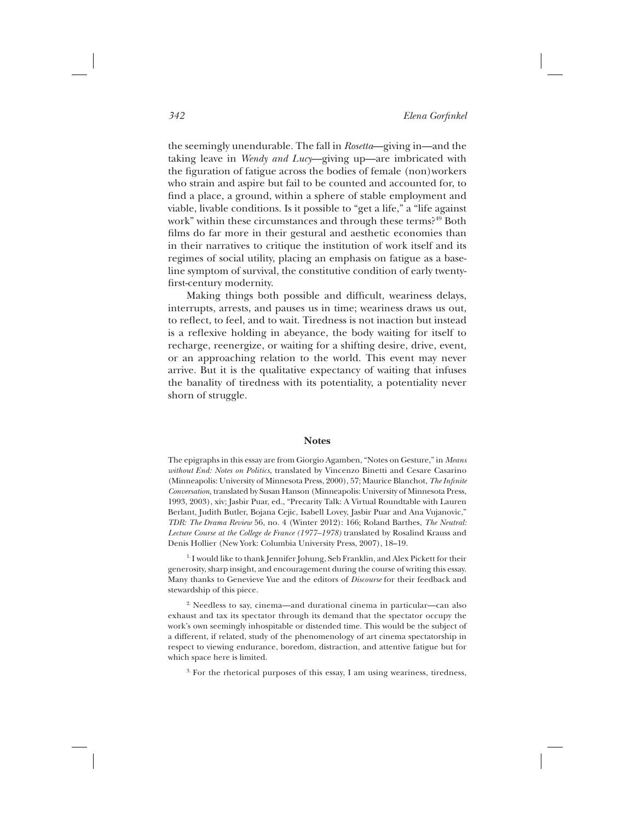the seemingly unendurable. The fall in *Rosetta*—giving in—and the taking leave in *Wendy and Lucy*—giving up—are imbricated with the figuration of fatigue across the bodies of female (non)workers who strain and aspire but fail to be counted and accounted for, to find a place, a ground, within a sphere of stable employment and viable, livable conditions. Is it possible to "get a life," a "life against work" within these circumstances and through these terms?<sup>49</sup> Both films do far more in their gestural and aesthetic economies than in their narratives to critique the institution of work itself and its regimes of social utility, placing an emphasis on fatigue as a baseline symptom of survival, the constitutive condition of early twentyfirst-century modernity.

Making things both possible and difficult, weariness delays, interrupts, arrests, and pauses us in time; weariness draws us out, to reflect, to feel, and to wait. Tiredness is not inaction but instead is a reflexive holding in abeyance, the body waiting for itself to recharge, reenergize, or waiting for a shifting desire, drive, event, or an approaching relation to the world. This event may never arrive. But it is the qualitative expectancy of waiting that infuses the banality of tiredness with its potentiality, a potentiality never shorn of struggle.

# **Notes**

The epigraphs in this essay are from Giorgio Agamben, "Notes on Gesture," in *Means without End: Notes on Politics*, translated by Vincenzo Binetti and Cesare Casarino (Minneapolis: University of Minnesota Press, 2000), 57; Maurice Blanchot, *The Infinite Conversation,* translated by Susan Hanson (Minneapolis: University of Minnesota Press, 1993, 2003), xiv; Jasbir Puar, ed., "Precarity Talk: A Virtual Roundtable with Lauren Berlant, Judith Butler, Bojana Cejic, Isabell Lovey, Jasbir Puar and Ana Vujanovic," *TDR: The Drama Review* 56, no. 4 (Winter 2012): 166; Roland Barthes, *The Neutral: Lecture Course at the College de France (1977–1978)* translated by Rosalind Krauss and Denis Hollier (New York: Columbia University Press, 2007), 18–19.

<sup>1.</sup> I would like to thank Jennifer Johung, Seb Franklin, and Alex Pickett for their generosity, sharp insight, and encouragement during the course of writing this essay. Many thanks to Genevieve Yue and the editors of *Discourse* for their feedback and stewardship of this piece.

2. Needless to say, cinema—and durational cinema in particular—can also exhaust and tax its spectator through its demand that the spectator occupy the work's own seemingly inhospitable or distended time. This would be the subject of a different, if related, study of the phenomenology of art cinema spectatorship in respect to viewing endurance, boredom, distraction, and attentive fatigue but for which space here is limited.

3. For the rhetorical purposes of this essay, I am using weariness, tiredness,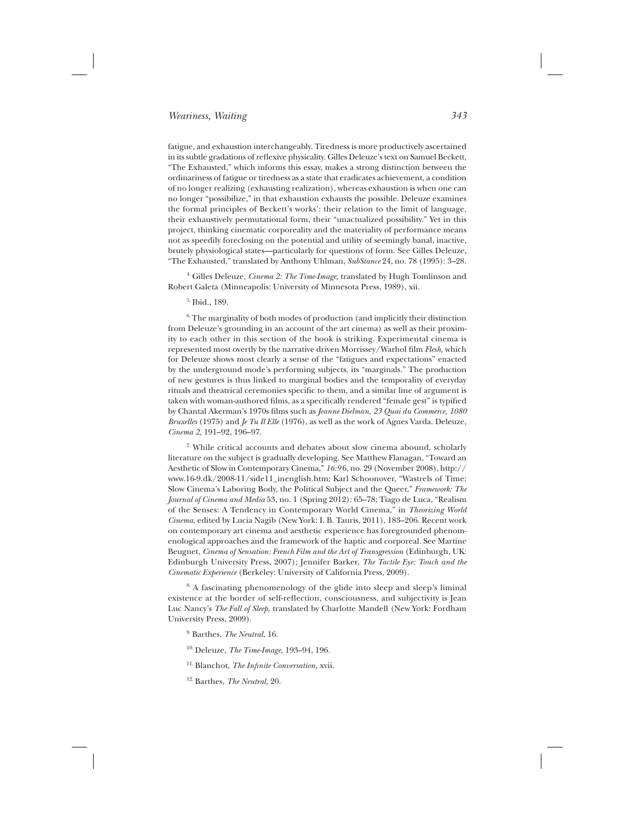fatigue, and exhaustion interchangeably. Tiredness is more productively ascertained in its subtle gradations of reflexive physicality. Gilles Deleuze's text on Samuel Beckett, "The Exhausted," which informs this essay, makes a strong distinction between the ordinariness of fatigue or tiredness as a state that eradicates achievement, a condition of no longer realizing (exhausting realization), whereas exhaustion is when one can no longer "possibilize," in that exhaustion exhausts the possible. Deleuze examines the formal principles of Beckett's works': their relation to the limit of language, their exhaustively permutational form, their "unactualized possibility." Yet in this project, thinking cinematic corporeality and the materiality of performance means not as speedily foreclosing on the potential and utility of seemingly banal, inactive, brutely physiological states—particularly for questions of form. See Gilles Deleuze, "The Exhausted," translated by Anthony Uhlman, *SubStance* 24, no. 78 (1995): 3–28.

4. Gilles Deleuze, *Cinema 2: The Time-Image,* translated by Hugh Tomlinson and Robert Galeta (Minneapolis: University of Minnesota Press, 1989), xii.

5. Ibid., 189.

<sup>6.</sup> The marginality of both modes of production (and implicitly their distinction from Deleuze's grounding in an account of the art cinema) as well as their proximity to each other in this section of the book is striking. Experimental cinema is represented most overtly by the narrative driven Morrissey/Warhol film *Flesh,* which for Deleuze shows most clearly a sense of the "fatigues and expectations" enacted by the underground mode's performing subjects, its "marginals." The production of new gestures is thus linked to marginal bodies and the temporality of everyday rituals and theatrical ceremonies specific to them, and a similar line of argument is taken with woman-authored films, as a specifically rendered "female gest" is typified by Chantal Akerman's 1970s films such as *Jeanne Dielman, 23 Quai du Commerce, 1080 Bruxelles* (1975) and *Je Tu Il Elle* (1976), as well as the work of Agnes Varda. Deleuze, *Cinema 2,* 191–92, 196–97.

<sup>7.</sup> While critical accounts and debates about slow cinema abound, scholarly literature on the subject is gradually developing. See Matthew Flanagan, "Toward an Aesthetic of Slow in Contemporary Cinema,"  $16:96$ , no. 29 (November 2008), http:// www.16-9.dk/2008-11/side11\_inenglish.htm; Karl Schoonover, "Wastrels of Time: Slow Cinema's Laboring Body, the Political Subject and the Queer," *Framework: The Journal of Cinema and Media* 53, no. 1 (Spring 2012): 65–78; Tiago de Luca, "Realism of the Senses: A Tendency in Contemporary World Cinema," in *Theorizing World Cinema,* edited by Lucia Nagib (New York: I. B. Tauris, 2011), 183–206. Recent work on contemporary art cinema and aesthetic experience has foregrounded phenomenological approaches and the framework of the haptic and corporeal. See Martine Beugnet, *Cinema of Sensation: French Film and the Art of Transgression* (Edinburgh, UK: Edinburgh University Press, 2007); Jennifer Barker, *The Tactile Eye: Touch and the Cinematic Experience* (Berkeley: University of California Press, 2009).

8. A fascinating phenomenology of the glide into sleep and sleep's liminal existence at the border of self-reflection, consciousness, and subjectivity is Jean Luc Nancy's *The Fall of Sleep,* translated by Charlotte Mandell (New York: Fordham University Press, 2009).

9. Barthes, *The Neutral,* 16.

10. Deleuze, *The Time-Image,* 193–94, 196.

11. Blanchot, *The Infinite Conversation,* xvii.

12. Barthes, *The Neutral,* 20.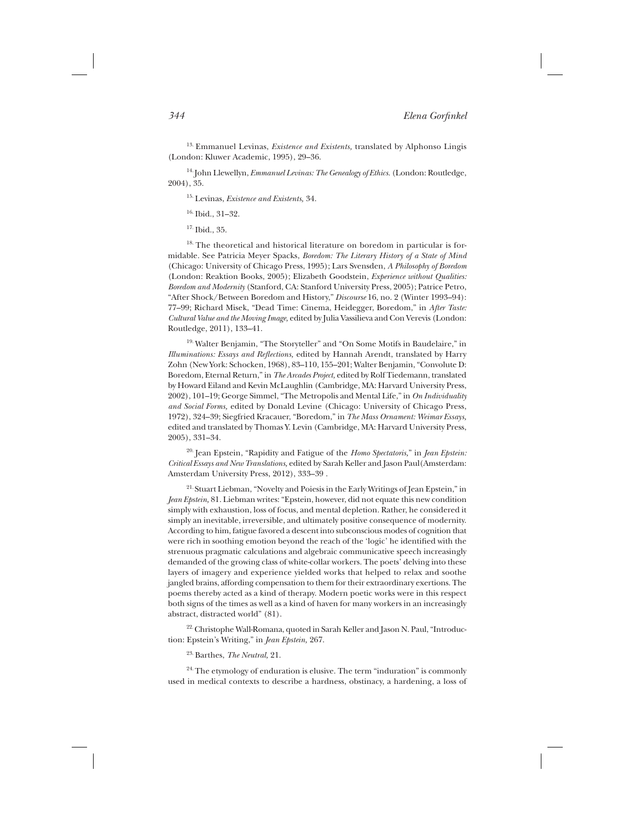13. Emmanuel Levinas, *Existence and Existents,* translated by Alphonso Lingis (London: Kluwer Academic, 1995), 29–36.

14. John Llewellyn, *Emmanuel Levinas: The Genealogy of Ethics.* (London: Routledge, 2004), 35.

15. Levinas, *Existence and Existents,* 34.

16. Ibid., 31–32.

17. Ibid., 35.

<sup>18.</sup> The theoretical and historical literature on boredom in particular is formidable. See Patricia Meyer Spacks, *Boredom: The Literary History of a State of Mind* (Chicago: University of Chicago Press, 1995); Lars Svensden, *A Philosophy of Boredom* (London: Reaktion Books, 2005); Elizabeth Goodstein, *Experience without Qualities: Boredom and Modernity* (Stanford, CA: Stanford University Press, 2005); Patrice Petro, "After Shock/Between Boredom and History," *Discourse* 16, no. 2 (Winter 1993–94): 77–99; Richard Misek, "Dead Time: Cinema, Heidegger, Boredom," in *After Taste: Cultural Value and the Moving Image,* edited by Julia Vassilieva and Con Verevis (London: Routledge, 2011), 133–41.

19. Walter Benjamin, "The Storyteller" and "On Some Motifs in Baudelaire," in *Illuminations: Essays and Reflections,* edited by Hannah Arendt, translated by Harry Zohn (New York: Schocken, 1968), 83–110, 155–201; Walter Benjamin, "Convolute D: Boredom, Eternal Return," in *The Arcades Project,* edited by Rolf Tiedemann, translated by Howard Eiland and Kevin McLaughlin (Cambridge, MA: Harvard University Press, 2002), 101–19; George Simmel, "The Metropolis and Mental Life," in *On Individuality and Social Forms,* edited by Donald Levine (Chicago: University of Chicago Press, 1972), 324–39; Siegfried Kracauer, "Boredom," in *The Mass Ornament: Weimar Essays,* edited and translated by Thomas Y. Levin (Cambridge, MA: Harvard University Press, 2005), 331–34.

20. Jean Epstein, "Rapidity and Fatigue of the *Homo Spectatoris,*" in *Jean Epstein: Critical Essays and New Translations,* edited by Sarah Keller and Jason Paul(Amsterdam: Amsterdam University Press, 2012), 333–39 .

<sup>21.</sup> Stuart Liebman, "Novelty and Poiesis in the Early Writings of Jean Epstein," in *Jean Epstein,* 81. Liebman writes: "Epstein, however, did not equate this new condition simply with exhaustion, loss of focus, and mental depletion. Rather, he considered it simply an inevitable, irreversible, and ultimately positive consequence of modernity. According to him, fatigue favored a descent into subconscious modes of cognition that were rich in soothing emotion beyond the reach of the 'logic' he identified with the strenuous pragmatic calculations and algebraic communicative speech increasingly demanded of the growing class of white-collar workers. The poets' delving into these layers of imagery and experience yielded works that helped to relax and soothe jangled brains, affording compensation to them for their extraordinary exertions. The poems thereby acted as a kind of therapy. Modern poetic works were in this respect both signs of the times as well as a kind of haven for many workers in an increasingly abstract, distracted world" (81).

<sup>22.</sup> Christophe Wall-Romana, quoted in Sarah Keller and Jason N. Paul, "Introduction: Epstein's Writing," in *Jean Epstein,* 267.

23. Barthes, *The Neutral,* 21.

<sup>24.</sup> The etymology of enduration is elusive. The term "induration" is commonly used in medical contexts to describe a hardness, obstinacy, a hardening, a loss of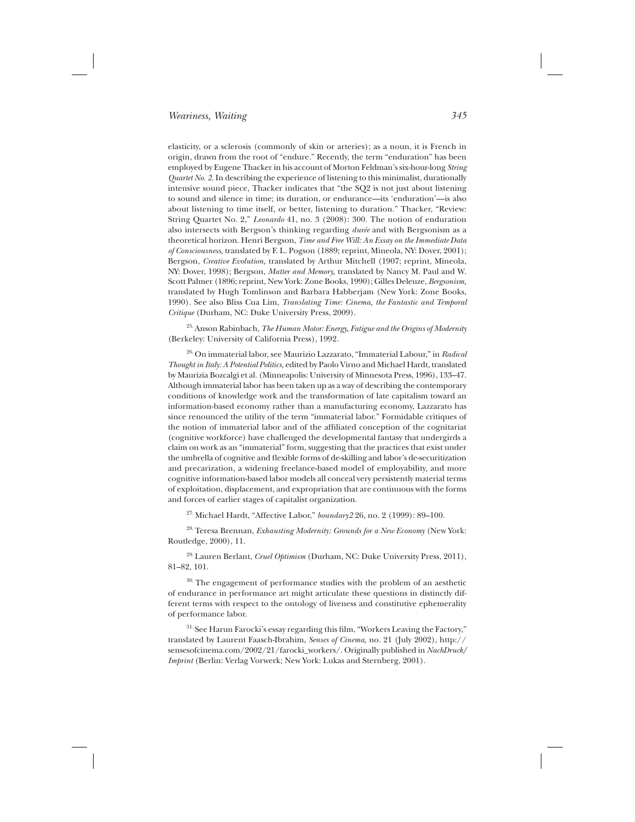elasticity, or a sclerosis (commonly of skin or arteries); as a noun, it is French in origin, drawn from the root of "endure." Recently, the term "enduration" has been employed by Eugene Thacker in his account of Morton Feldman's six-hour-long *String Quartet No. 2.* In describing the experience of listening to this minimalist, durationally intensive sound piece, Thacker indicates that "the SQ2 is not just about listening to sound and silence in time; its duration, or endurance—its 'enduration'—is also about listening to time itself, or better, listening to duration." Thacker, "Review: String Quartet No. 2," *Leonardo* 41, no. 3 (2008): 300. The notion of enduration also intersects with Bergson's thinking regarding *durée* and with Bergsonism as a theoretical horizon. Henri Bergson, *Time and Free Will: An Essay on the Immediate Data of Consciousness,* translated by F. L. Pogson (1889; reprint, Mineola, NY: Dover, 2001); Bergson, *Creative Evolution,* translated by Arthur Mitchell (1907; reprint, Mineola, NY: Dover, 1998); Bergson, *Matter and Memory,* translated by Nancy M. Paul and W. Scott Palmer (1896; reprint, New York: Zone Books, 1990); Gilles Deleuze, *Bergsonism,* translated by Hugh Tomlinson and Barbara Habberjam (New York: Zone Books, 1990). See also Bliss Cua Lim, *Translating Time: Cinema, the Fantastic and Temporal Critique* (Durham, NC: Duke University Press, 2009).

25. Anson Rabinbach, *The Human Motor: Energy, Fatigue and the Origins of Modernity* (Berkeley: University of California Press), 1992.

26. On immaterial labor, see Maurizio Lazzarato, "Immaterial Labour," in *Radical Thought in Italy: A Potential Politics,* edited by Paolo Virno and Michael Hardt, translated by Maurizia Bozcalgi et al. (Minneapolis: University of Minnesota Press, 1996), 133–47. Although immaterial labor has been taken up as a way of describing the contemporary conditions of knowledge work and the transformation of late capitalism toward an information-based economy rather than a manufacturing economy, Lazzarato has since renounced the utility of the term "immaterial labor." Formidable critiques of the notion of immaterial labor and of the affiliated conception of the cognitariat (cognitive workforce) have challenged the developmental fantasy that undergirds a claim on work as an "immaterial" form, suggesting that the practices that exist under the umbrella of cognitive and flexible forms of de-skilling and labor's de-securitization and precarization, a widening freelance-based model of employability, and more cognitive information-based labor models all conceal very persistently material terms of exploitation, displacement, and expropriation that are continuous with the forms and forces of earlier stages of capitalist organization.

27. Michael Hardt, "Affective Labor," *boundary2* 26, no. 2 (1999): 89–100.

28. Teresa Brennan, *Exhausting Modernity: Grounds for a New Economy* (New York: Routledge, 2000), 11.

29. Lauren Berlant, *Cruel Optimism* (Durham, NC: Duke University Press, 2011), 81–82, 101.

<sup>30.</sup> The engagement of performance studies with the problem of an aesthetic of endurance in performance art might articulate these questions in distinctly different terms with respect to the ontology of liveness and constitutive ephemerality of performance labor.

31. See Harun Farocki's essay regarding this film, "Workers Leaving the Factory," translated by Laurent Faasch-Ibrahim, *Senses of Cinema,* no. 21 (July 2002), http:// sensesofcinema.com/2002/21/farocki\_workers/. Originally published in *NachDruck/ Imprint* (Berlin: Verlag Vorwerk; New York: Lukas and Sternberg, 2001).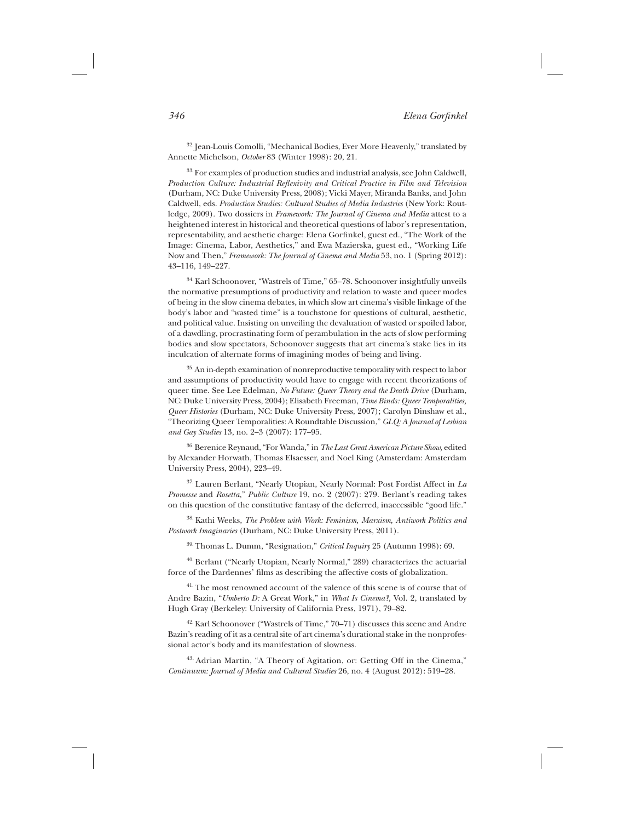32. Jean-Louis Comolli, "Mechanical Bodies, Ever More Heavenly," translated by Annette Michelson, *October* 83 (Winter 1998): 20, 21.

33. For examples of production studies and industrial analysis, see John Caldwell, *Production Culture: Industrial Reflexivity and Critical Practice in Film and Television* (Durham, NC: Duke University Press, 2008); Vicki Mayer, Miranda Banks, and John Caldwell, eds. *Production Studies: Cultural Studies of Media Industries* (New York: Routledge, 2009). Two dossiers in *Framework: The Journal of Cinema and Media* attest to a heightened interest in historical and theoretical questions of labor's representation, representability, and aesthetic charge: Elena Gorfinkel, guest ed., "The Work of the Image: Cinema, Labor, Aesthetics," and Ewa Mazierska, guest ed., "Working Life Now and Then," *Framework: The Journal of Cinema and Media* 53, no. 1 (Spring 2012): 43–116, 149–227.

34. Karl Schoonover, "Wastrels of Time," 65–78. Schoonover insightfully unveils the normative presumptions of productivity and relation to waste and queer modes of being in the slow cinema debates, in which slow art cinema's visible linkage of the body's labor and "wasted time" is a touchstone for questions of cultural, aesthetic, and political value. Insisting on unveiling the devaluation of wasted or spoiled labor, of a dawdling, procrastinating form of perambulation in the acts of slow performing bodies and slow spectators, Schoonover suggests that art cinema's stake lies in its inculcation of alternate forms of imagining modes of being and living.

<sup>35.</sup> An in-depth examination of nonreproductive temporality with respect to labor and assumptions of productivity would have to engage with recent theorizations of queer time. See Lee Edelman, *No Future: Queer Theory and the Death Drive* (Durham, NC: Duke University Press, 2004); Elisabeth Freeman, *Time Binds: Queer Temporalities, Queer Histories* (Durham, NC: Duke University Press, 2007); Carolyn Dinshaw et al., "Theorizing Queer Temporalities: A Roundtable Discussion," *GLQ: A Journal of Lesbian and Gay Studies* 13, no. 2–3 (2007): 177–95.

36. Berenice Reynaud, "For Wanda," in *The Last Great American Picture Show,* edited by Alexander Horwath, Thomas Elsaesser, and Noel King (Amsterdam: Amsterdam University Press, 2004), 223–49.

37. Lauren Berlant, "Nearly Utopian, Nearly Normal: Post Fordist Affect in *La Promesse* and *Rosetta,*" *Public Culture* 19, no. 2 (2007): 279. Berlant's reading takes on this question of the constitutive fantasy of the deferred, inaccessible "good life."

38. Kathi Weeks, *The Problem with Work: Feminism, Marxism, Antiwork Politics and Postwork Imaginaries* (Durham, NC: Duke University Press, 2011).

39. Thomas L. Dumm, "Resignation," *Critical Inquiry* 25 (Autumn 1998): 69.

40. Berlant ("Nearly Utopian, Nearly Normal," 289) characterizes the actuarial force of the Dardennes' films as describing the affective costs of globalization.

<sup>41.</sup> The most renowned account of the valence of this scene is of course that of Andre Bazin, "*Umberto D:* A Great Work," in *What Is Cinema?,* Vol. 2, translated by Hugh Gray (Berkeley: University of California Press, 1971), 79–82.

 $42$ . Karl Schoonover ("Wastrels of Time," 70–71) discusses this scene and Andre Bazin's reading of it as a central site of art cinema's durational stake in the nonprofessional actor's body and its manifestation of slowness.

43. Adrian Martin, "A Theory of Agitation, or: Getting Off in the Cinema," *Continuum: Journal of Media and Cultural Studies* 26, no. 4 (August 2012): 519–28.